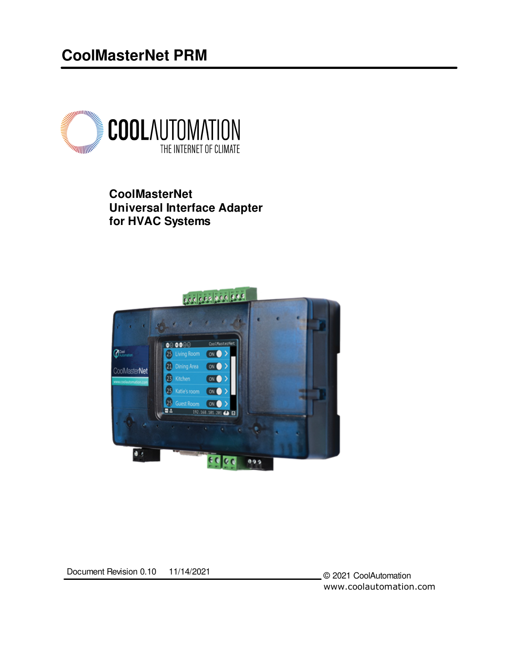# **CoolMasterNet PRM**



**CoolMasterNet Universal Interface Adapter for HVAC Systems**



Document Revision 0.10 11/14/2021

© 2021 CoolAutomation www.coolautomation.com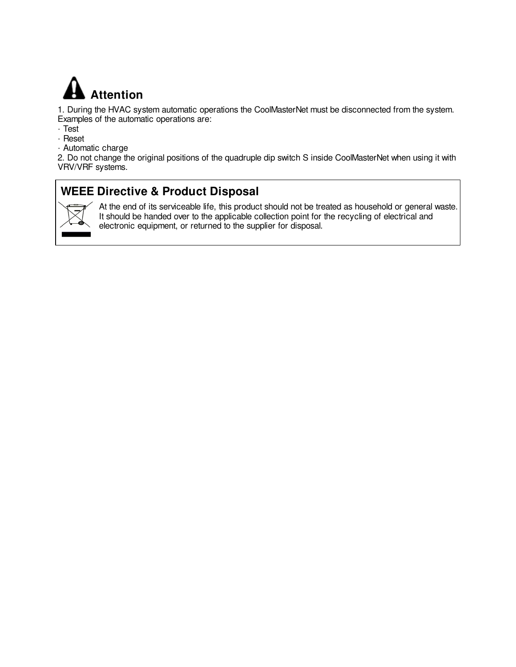

1. During the HVAC system automatic operations the CoolMasterNet must be disconnected from the system. Examples of the automatic operations are:

- · Test
- · Reset
- · Automatic charge

2. Do not change the original positions of the quadruple dip switch S inside CoolMasterNet when using it with VRV/VRF systems.

# **WEEE Directive & Product Disposal**



At the end of its serviceable life, this product should not be treated as household or general waste. It should be handed over to the applicable collection point for the recycling of electrical and electronic equipment, or returned to the supplier for disposal.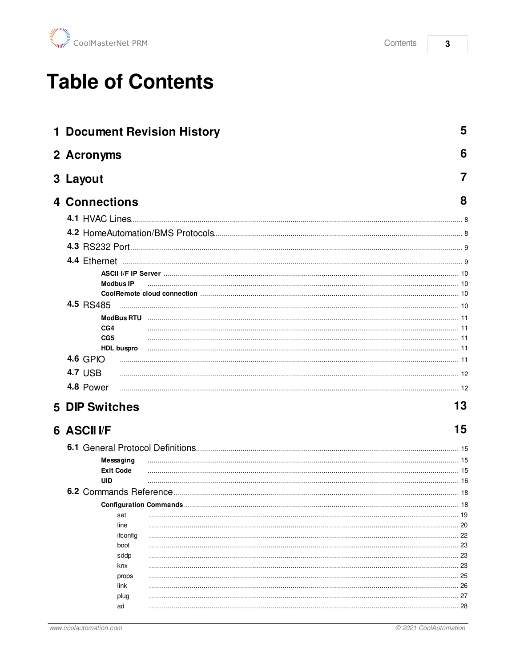$\overline{\mathbf{3}}$ 

# **Table of Contents**

| <b>1 Document Revision History</b> | 5            |
|------------------------------------|--------------|
| 2 Acronyms                         | 6            |
| 3 Layout                           |              |
| <b>4 Connections</b>               | 8            |
|                                    |              |
|                                    |              |
|                                    |              |
|                                    |              |
|                                    |              |
| <b>Modbus IP</b>                   |              |
|                                    |              |
|                                    |              |
| CG <sub>4</sub>                    |              |
| CG <sub>5</sub>                    |              |
| HDL buspro                         |              |
| <b>4.6 GPIO</b>                    |              |
| <b>4.7 USB</b>                     |              |
| 4.8 Power                          |              |
| <b>5 DIP Switches</b>              | 13           |
| <b>6 ASCIIVF</b>                   | 15           |
|                                    |              |
| Messaging                          |              |
| <b>Exit Code</b>                   |              |
| UID                                |              |
|                                    |              |
|                                    | 18           |
| set<br>line                        | 19           |
| ifconfig                           |              |
| boot                               |              |
| sddp                               | 23           |
| knx<br>props                       | . 23<br>. 25 |
| link                               | . 26         |
| plug                               | . . 27       |
| ad                                 |              |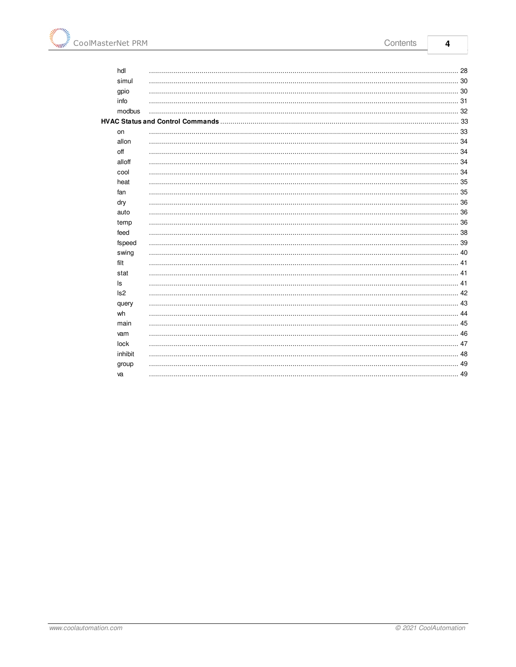| hdl             |      |
|-----------------|------|
| simul           |      |
| gpio            | 30   |
| info            |      |
| modbus          | . 32 |
|                 |      |
| on              | 33   |
| allon           | .34  |
| off             |      |
| alloff          | 34   |
| cool            |      |
| heat            | 35   |
| fan             | 35   |
| dry             |      |
| auto            | . 36 |
| temp            |      |
| feed            |      |
| fspeed          | 39   |
| swing           | .40  |
| filt            | 41   |
| stat            |      |
| ls              | . 41 |
| Is <sub>2</sub> | 42   |
| query           | 43   |
| wh              | 44   |
| main            |      |
| vam             | 46   |
| lock            | 47   |
| inhibit         | 48   |
| group           | . 49 |
| va              |      |
|                 |      |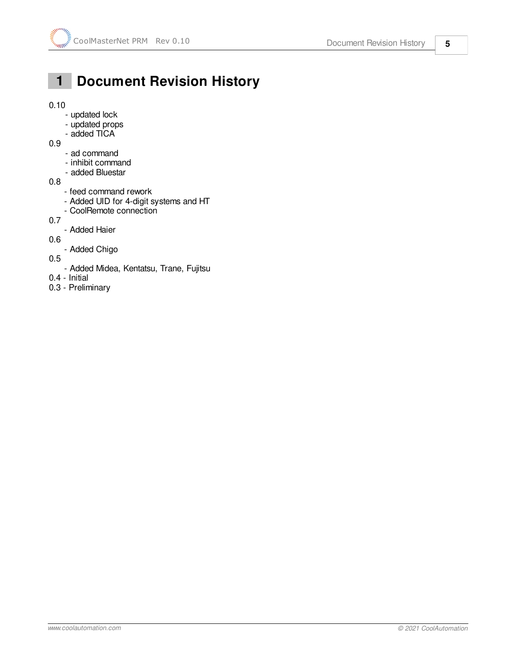# <span id="page-4-0"></span> **1 Document Revision History**

#### 0.10

- updated lock
- updated props
- added TICA
- 0.9
	- ad command
	- inhibit command
	- added Bluestar
- 0.8
	- feed command rework
	- Added UID for 4-digit systems and HT
	- CoolRemote connection
- 0.7
	- Added Haier

0.6

- Added Chigo
- 0.5
	- Added Midea, Kentatsu, Trane, Fujitsu
- 0.4 Initial
- 0.3 Preliminary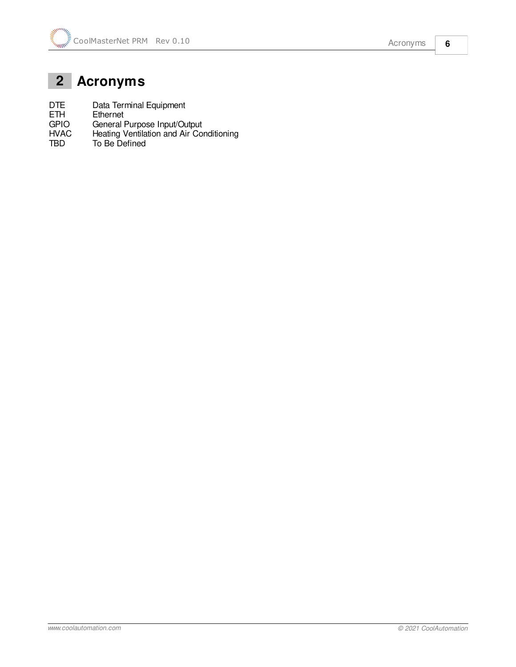# <span id="page-5-0"></span> **2 Acronyms**

DTE Data Terminal Equipment<br>ETH Ethernet

- ETH Ethernet<br>GPIO General I GPIO General Purpose Input/Output
- HVAC Heating Ventilation and Air Conditioning
- TBD To Be Defined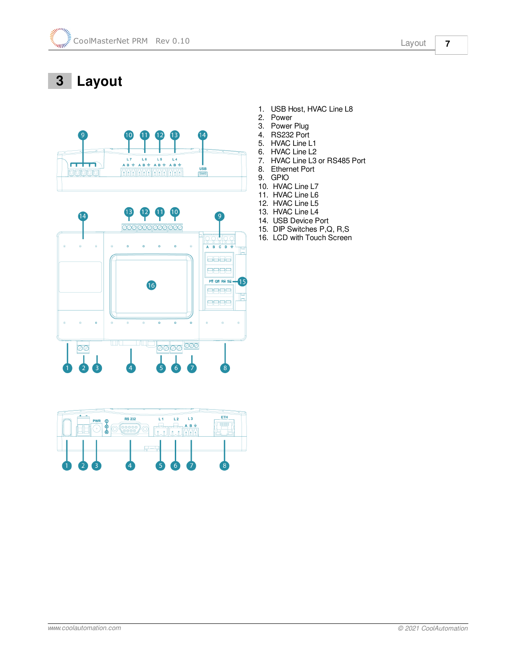# <span id="page-6-0"></span> **3 Layout**





- 1. USB Host, HVAC Line L8
- 2. Power
- 3. Power Plug 4. RS232 Port
- 5. HVAC Line L1
- 
- 6. HVAC Line L2<br>7. HVAC Line L3 HVAC Line L3 or RS485 Port
- 8. Ethernet Port
- 9. GPIO
- 10. HVAC Line L7
- 11. HVAC Line L6
- 12. HVAC Line L5
- 13. HVAC Line L4
- 14. USB Device Port
- 15. DIP Switches P,Q, R,S
- 16. LCD with Touch Screen

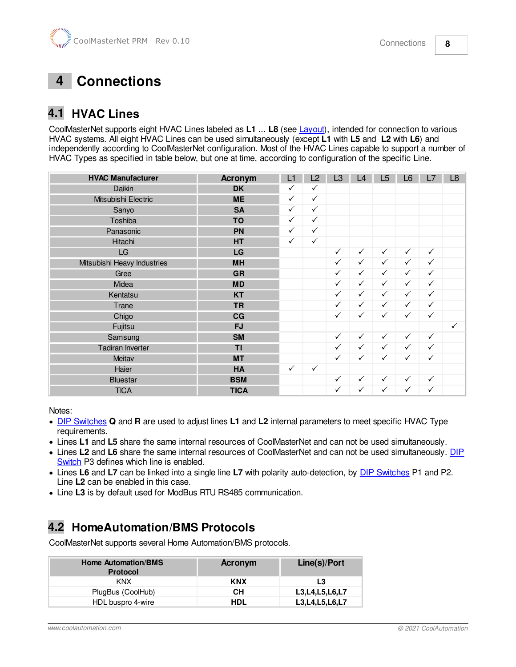# <span id="page-7-0"></span> **4 Connections**

# <span id="page-7-1"></span>**4.1 HVAC Lines**

CoolMasterNet supports eight HVAC Lines labeled as **L1** ... **L8** (see [Layout\)](#page-6-0), intended for connection to various HVAC systems. All eight HVAC Lines can be used simultaneously (except **L1** with **L5** and **L2** with **L6**) and independently according to CoolMasterNet configuration. Most of the HVAC Lines capable to support a number of HVAC Types as specified in table below, but one at time, according to configuration of the specific Line.

| <b>HVAC Manufacturer</b>    | <b>Acronym</b> | L1           | L2           | L3           | L4           | L5           | L <sub>6</sub> | L7           | L <sub>8</sub> |
|-----------------------------|----------------|--------------|--------------|--------------|--------------|--------------|----------------|--------------|----------------|
| <b>Daikin</b>               | <b>DK</b>      | $\checkmark$ | $\checkmark$ |              |              |              |                |              |                |
| Mitsubishi Electric         | <b>ME</b>      | $\checkmark$ | $\checkmark$ |              |              |              |                |              |                |
| Sanyo                       | <b>SA</b>      | $\checkmark$ | $\checkmark$ |              |              |              |                |              |                |
| Toshiba                     | <b>TO</b>      | $\checkmark$ | $\checkmark$ |              |              |              |                |              |                |
| Panasonic                   | PN             | $\checkmark$ | $\checkmark$ |              |              |              |                |              |                |
| Hitachi                     | HT             | $\checkmark$ | $\checkmark$ |              |              |              |                |              |                |
| LG                          | LG             |              |              | $\checkmark$ | $\checkmark$ | $\checkmark$ | $\checkmark$   | $\checkmark$ |                |
| Mitsubishi Heavy Industries | <b>MH</b>      |              |              | $\checkmark$ | $\checkmark$ | $\checkmark$ | $\checkmark$   | ✓            |                |
| Gree                        | <b>GR</b>      |              |              | $\checkmark$ | $\checkmark$ | $\checkmark$ | $\checkmark$   | $\checkmark$ |                |
| Midea                       | <b>MD</b>      |              |              | $\checkmark$ | $\checkmark$ | $\checkmark$ | $\checkmark$   | $\checkmark$ |                |
| Kentatsu                    | <b>KT</b>      |              |              | $\checkmark$ | $\checkmark$ | $\checkmark$ | $\checkmark$   | $\checkmark$ |                |
| Trane                       | <b>TR</b>      |              |              | $\checkmark$ | $\checkmark$ | $\checkmark$ | $\checkmark$   | $\checkmark$ |                |
| Chigo                       | CG             |              |              | $\checkmark$ | $\checkmark$ | $\checkmark$ | $\checkmark$   | $\checkmark$ |                |
| Fujitsu                     | <b>FJ</b>      |              |              |              |              |              |                |              | $\checkmark$   |
| Samsung                     | <b>SM</b>      |              |              | $\checkmark$ | $\checkmark$ | $\checkmark$ | $\checkmark$   | $\checkmark$ |                |
| Tadiran Inverter            | TI             |              |              | $\checkmark$ | $\checkmark$ | $\checkmark$ | $\checkmark$   | $\checkmark$ |                |
| Meitav                      | <b>MT</b>      |              |              | $\checkmark$ | $\checkmark$ | $\checkmark$ | $\checkmark$   | $\checkmark$ |                |
| Haier                       | HA             | $\checkmark$ | $\checkmark$ |              |              |              |                |              |                |
| <b>Bluestar</b>             | <b>BSM</b>     |              |              | $\checkmark$ | $\checkmark$ | $\checkmark$ | $\checkmark$   | $\checkmark$ |                |
| <b>TICA</b>                 | <b>TICA</b>    |              |              | $\checkmark$ | $\checkmark$ | $\checkmark$ | $\checkmark$   | $\checkmark$ |                |

Notes:

- · [DIP Switches](#page-12-0) **Q** and **R** are used to adjust lines **L1** and **L2** internal parameters to meet specific HVAC Type requirements.
- · Lines **L1** and **L5** share the same internal resources of CoolMasterNet and can not be used simultaneously.
- · Lines **L2** and **L6** share the same internal resources of CoolMasterNet and can not be used simultaneously. [DIP](#page-12-0) [Switch](#page-12-0) P3 defines which line is enabled.
- · Lines **L6** and **L7** can be linked into a single line **L7** with polarity auto-detection, by [DIP Switches](#page-12-0) P1 and P2. Line **L2** can be enabled in this case.
- · Line **L3** is by default used for ModBus RTU RS485 communication.

# <span id="page-7-2"></span>**4.2 HomeAutomation/BMS Protocols**

CoolMasterNet supports several Home Automation/BMS protocols.

| <b>Home Automation/BMS</b><br><b>Protocol</b> | Acronym    | Line(s)/Port       |
|-----------------------------------------------|------------|--------------------|
| KNX                                           | <b>KNX</b> | L3                 |
| PlugBus (CoolHub)                             | CН         | L3.L4.L5.L6.L7     |
| HDL buspro 4-wire                             | HDL        | L3, L4, L5, L6, L7 |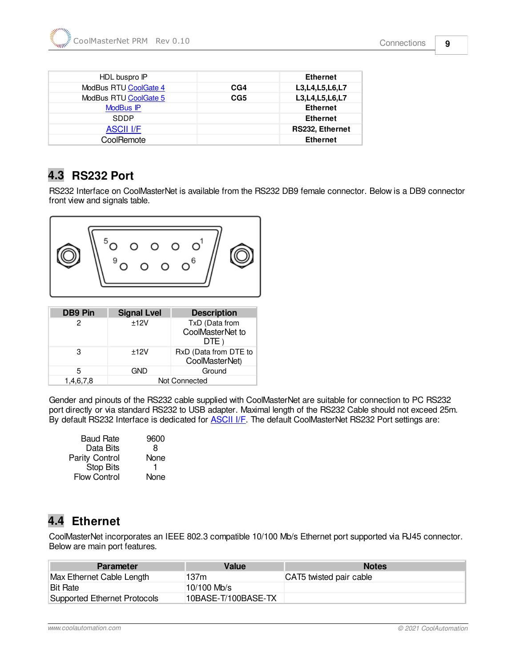| HDL buspro IP         |     | <b>Ethernet</b>        |
|-----------------------|-----|------------------------|
| ModBus RTU CoolGate 4 | CG4 | L3, L4, L5, L6, L7     |
| ModBus RTU CoolGate 5 | CG5 | L3, L4, L5, L6, L7     |
| ModBus IP             |     | <b>Ethernet</b>        |
| <b>SDDP</b>           |     | <b>Ethernet</b>        |
| <b>ASCII I/F</b>      |     | <b>RS232, Ethernet</b> |
| CoolRemote            |     | <b>Ethernet</b>        |

# <span id="page-8-0"></span>**4.3 RS232 Port**

RS232 Interface on CoolMasterNet is available from the RS232 DB9 female connector. Below is a DB9 connector front view and signals table.



| <b>DB9 Pin</b> | <b>Signal Lvel</b> | <b>Description</b>                         |  |
|----------------|--------------------|--------------------------------------------|--|
|                | ±12V               | TxD (Data from<br>CoolMasterNet to<br>DTE) |  |
| 3              | ±12V               | RxD (Data from DTE to<br>CoolMasterNet)    |  |
| 5              | GND                | Ground                                     |  |
| 1,4,6,7,8      | Not Connected      |                                            |  |

Gender and pinouts of the RS232 cable supplied with CoolMasterNet are suitable for connection to PC RS232 port directly or via standard RS232 to USB adapter. Maximal length of the RS232 Cable should not exceed 25m. By default RS232 Interface is dedicated for **ASCII I/F**. The default CoolMasterNet RS232 Port settings are:

| <b>Baud Rate</b>      | 9600 |
|-----------------------|------|
| Data Bits             | 8    |
| <b>Parity Control</b> | None |
| <b>Stop Bits</b>      |      |
| <b>Flow Control</b>   | None |
|                       |      |

# <span id="page-8-1"></span>**4.4 Ethernet**

CoolMasterNet incorporates an IEEE 802.3 compatible 10/100 Mb/s Ethernet port supported via RJ45 connector. Below are main port features.

| <b>Parameter</b>             | Value               | <b>Notes</b>            |
|------------------------------|---------------------|-------------------------|
| Max Ethernet Cable Length    | 137m                | CAT5 twisted pair cable |
| <b>Bit Rate</b>              | 10/100 Mb/s         |                         |
| Supported Ethernet Protocols | 10BASE-T/100BASE-TX |                         |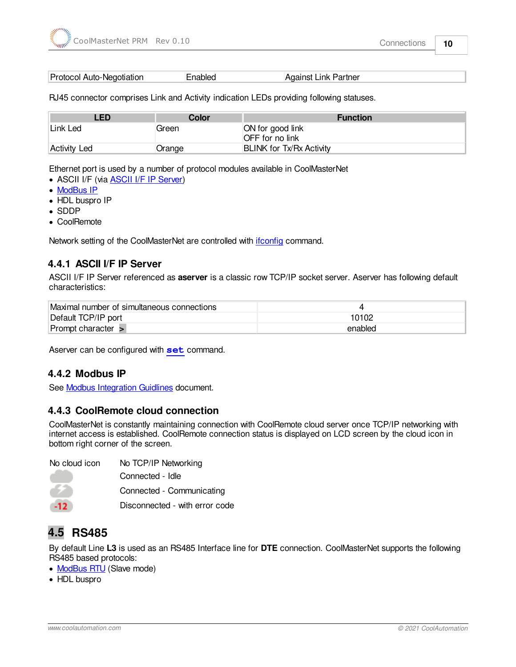| Protocol Auto-Negotiation | <b>Enabled</b> | Against Link Partner |  |
|---------------------------|----------------|----------------------|--|
|---------------------------|----------------|----------------------|--|

RJ45 connector comprises Link and Activity indication LEDs providing following statuses.

| LED          | Color  | <b>Function</b>                            |
|--------------|--------|--------------------------------------------|
| Link Led     | Green  | ON for good link<br><b>OFF</b> for no link |
| Activity Led | Orange | <b>BLINK for Tx/Rx Activity</b>            |

Ethernet port is used by a number of protocol modules available in CoolMasterNet

- · ASCII I/F (via [ASCII I/F IP Server\)](#page-9-0)
- · [ModBus IP](#page-9-1)
- HDL buspro IP
- · SDDP
- · CoolRemote

Network setting of the CoolMasterNet are controlled with *[ifconfig](#page-21-0)* command.

#### <span id="page-9-0"></span>**4.4.1 ASCII I/F IP Server**

ASCII I/F IP Server referenced as **aserver** is a classic row TCP/IP socket server. Aserver has following default characteristics:

| Maximal number of simultaneous connections |         |
|--------------------------------------------|---------|
| Default TCP/IP port                        | 10102   |
| Prompt character $>$                       | enabled |

Aserver can be configured with **[set](#page-18-0)** command.

#### <span id="page-9-1"></span>**4.4.2 Modbus IP**

See [Modbus Integration Guidlines](http://coolautomation.com/lib/doc/manual/Modbus-guidelines.pdf) document.

#### <span id="page-9-2"></span>**4.4.3 CoolRemote cloud connection**

CoolMasterNet is constantly maintaining connection with CoolRemote cloud server once TCP/IP networking with internet access is established. CoolRemote connection status is displayed on LCD screen by the cloud icon in bottom right corner of the screen.

| No cloud icon | No TCP/IP Networking           |
|---------------|--------------------------------|
|               | Connected - Idle               |
|               | Connected - Communicating      |
|               | Disconnected - with error code |

# <span id="page-9-3"></span>**4.5 RS485**

By default Line **L3** is used as an RS485 Interface line for **DTE** connection. CoolMasterNet supports the following RS485 based protocols:

- [ModBus RTU](#page-10-0) (Slave mode)
- · HDL buspro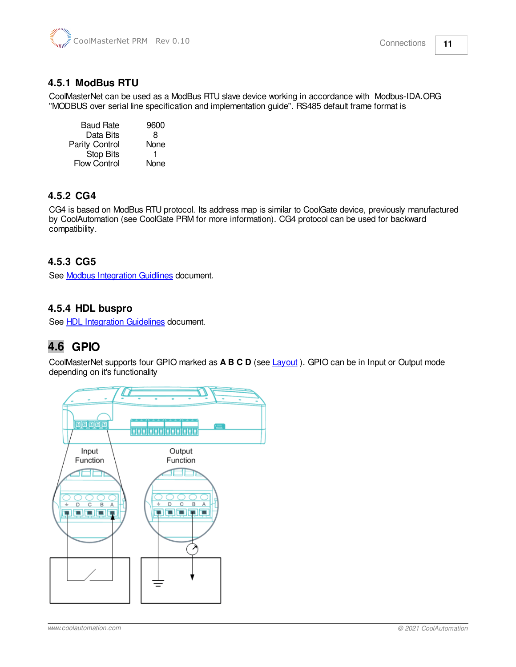

### <span id="page-10-0"></span>**4.5.1 ModBus RTU**

CoolMasterNet can be used as a ModBus RTU slave device working in accordance with Modbus-IDA.ORG "MODBUS over serial line specification and implementation guide". RS485 default frame format is

Baud Rate 9600<br>Data Bits 8 Data Bits Parity Control None Stop Bits 1 Flow Control None

### <span id="page-10-1"></span>**4.5.2 CG4**

CG4 is based on ModBus RTU protocol. Its address map is similar to CoolGate device, previously manufactured by CoolAutomation (see CoolGate PRM for more information). CG4 protocol can be used for backward compatibility.

### <span id="page-10-2"></span>**4.5.3 CG5**

See [Modbus Integration Guidlines](http://coolautomation.com/lib/doc/manual/Modbus-guidelines.pdf) document.

#### <span id="page-10-3"></span>**4.5.4 HDL buspro**

See [HDL Integration Guidelines](http://coolautomation.com/lib/doc/manual/HDL-guidelines.pdf) document.

# <span id="page-10-4"></span>**4.6 GPIO**

CoolMasterNet supports four GPIO marked as **A B C D** (see [Layout](#page-6-0) ). GPIO can be in Input or Output mode depending on it's functionality

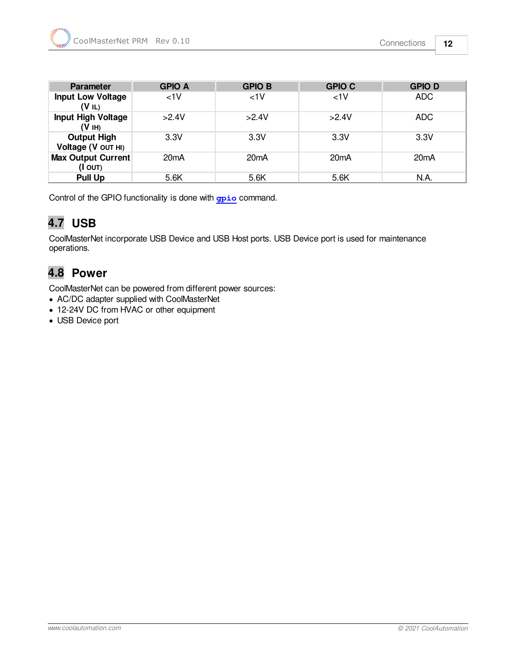| Parameter                                      | <b>GPIO A</b> | <b>GPIO B</b> | <b>GPIO C</b>     | <b>GPIOD</b> |
|------------------------------------------------|---------------|---------------|-------------------|--------------|
| <b>Input Low Voltage</b><br>(VIL)              | $<1$ V        | 1<            | $<1$ V            | <b>ADC</b>   |
| <b>Input High Voltage</b><br>(H <sub>I</sub> ) | >2.4V         | >2.4V         | >2.4V             | ADC          |
| <b>Output High</b><br>Voltage (V OUT HI)       | 3.3V          | 3.3V          | 3.3V              | 3.3V         |
| <b>Max Output Current</b><br>(I OUT)           | 20mA          | 20mA          | 20 <sub>m</sub> A | 20mA         |
| <b>Pull Up</b>                                 | 5.6K          | 5.6K          | 5.6K              | N.A.         |

Control of the GPIO functionality is done with **[gpio](#page-29-1)** command.

# <span id="page-11-0"></span>**4.7 USB**

CoolMasterNet incorporate USB Device and USB Host ports. USB Device port is used for maintenance operations.

# <span id="page-11-1"></span>**4.8 Power**

CoolMasterNet can be powered from different power sources:

- · AC/DC adapter supplied with CoolMasterNet
- · 12-24V DC from HVAC or other equipment
- · USB Device port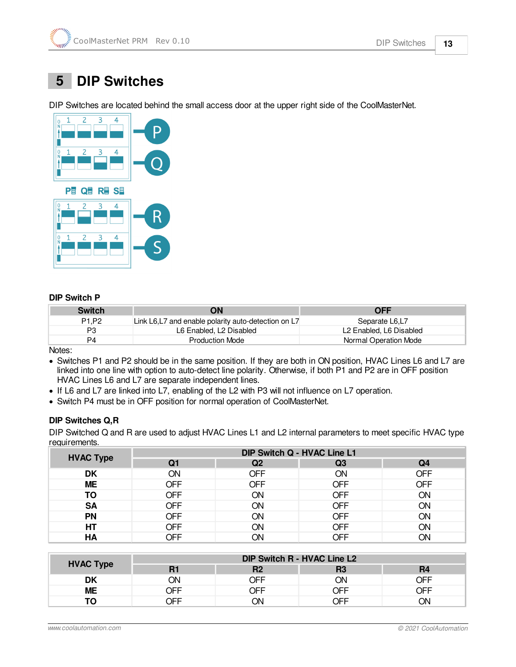# <span id="page-12-0"></span> **5 DIP Switches**

DIP Switches are located behind the small access door at the upper right side of the CoolMasterNet.



#### **DIP Switch P**

| <b>Switch</b>                 | ΟN                                                   | <b>OFF</b>              |
|-------------------------------|------------------------------------------------------|-------------------------|
| P <sub>1</sub> P <sub>2</sub> | Link L6, L7 and enable polarity auto-detection on L7 | Separate L6.L7          |
| P3                            | L6 Enabled, L2 Disabled                              | L2 Enabled. L6 Disabled |
| P4                            | <b>Production Mode</b>                               | Normal Operation Mode   |

Notes:

- · Switches P1 and P2 should be in the same position. If they are both in ON position, HVAC Lines L6 and L7 are linked into one line with option to auto-detect line polarity. Otherwise, if both P1 and P2 are in OFF position HVAC Lines L6 and L7 are separate independent lines.
- · If L6 and L7 are linked into L7, enabling of the L2 with P3 will not influence on L7 operation.
- · Switch P4 must be in OFF position for normal operation of CoolMasterNet.

#### **DIP Switches Q,R**

DIP Switched Q and R are used to adjust HVAC Lines L1 and L2 internal parameters to meet specific HVAC type requirements.

| <b>HVAC Type</b> | <b>DIP Switch Q - HVAC Line L1</b> |            |            |     |  |
|------------------|------------------------------------|------------|------------|-----|--|
|                  | Q1                                 | Q2         | Q3         | Q4  |  |
| DK               | ΟN                                 | OFF        | <b>ON</b>  | OFF |  |
| <b>ME</b>        | <b>OFF</b>                         | OFF        | <b>OFF</b> | OFF |  |
| ΤО               | OFF                                | ON         | <b>OFF</b> | ΟN  |  |
| <b>SA</b>        | OFF                                | ON         | <b>OFF</b> | ON  |  |
| <b>PN</b>        | <b>OFF</b>                         | ON         | <b>OFF</b> | ΟN  |  |
| HT               | <b>OFF</b>                         | ΟN         | <b>OFF</b> | ON  |  |
| HA               | OFF                                | <b>JIC</b> | <b>OFF</b> | OΝ  |  |

|                  | DIP Switch R - HVAC Line L2 |            |            |                |  |
|------------------|-----------------------------|------------|------------|----------------|--|
| <b>HVAC Type</b> | R1                          | R2         | R3         | R <sub>4</sub> |  |
| DK               | ОN                          | <b>NFF</b> | ON         | 7EF            |  |
| MЕ               | )FF                         | <b>DEE</b> | <b>DFF</b> | )FF            |  |
|                  | )FF                         | ٦N         | 7FF        | JN.            |  |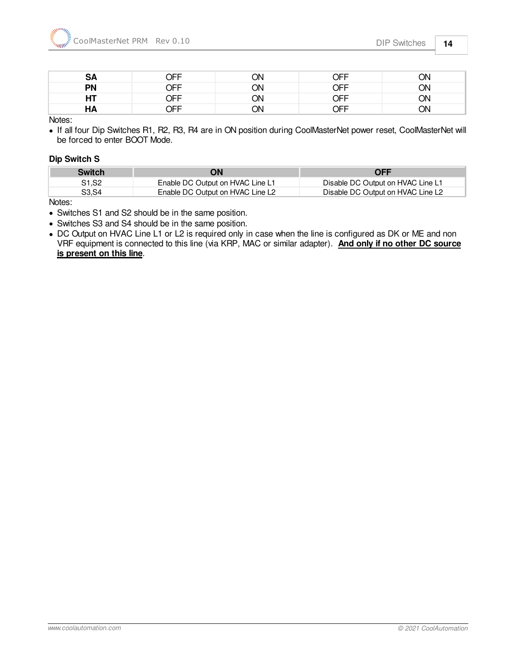| <b>SA</b> | OFF        | ON | OFF        | ON |
|-----------|------------|----|------------|----|
| <b>PN</b> | OFF        | ON | <b>OFF</b> | ЮC |
| HT        | <b>JFF</b> | ON | OFF        | ЮC |
| ΗA        | <b>DEE</b> | ON | OFF        | ٦N |

Notes:

· If all four Dip Switches R1, R2, R3, R4 are in ON position during CoolMasterNet power reset, CoolMasterNet will be forced to enter BOOT Mode.

#### **Dip Switch S**

| <b>Switch</b> | ЭN                               | <b>OFF</b>                        |
|---------------|----------------------------------|-----------------------------------|
| S1.S2         | Enable DC Output on HVAC Line L1 | Disable DC Output on HVAC Line L1 |
| S3.S4         | Enable DC Output on HVAC Line L2 | Disable DC Output on HVAC Line L2 |

Notes:

- · Switches S1 and S2 should be in the same position.
- · Switches S3 and S4 should be in the same position.
- · DC Output on HVAC Line L1 or L2 is required only in case when the line is configured as DK or ME and non VRF equipment is connected to this line (via KRP, MAC or similar adapter). **And only if no other DC source is present on this line**.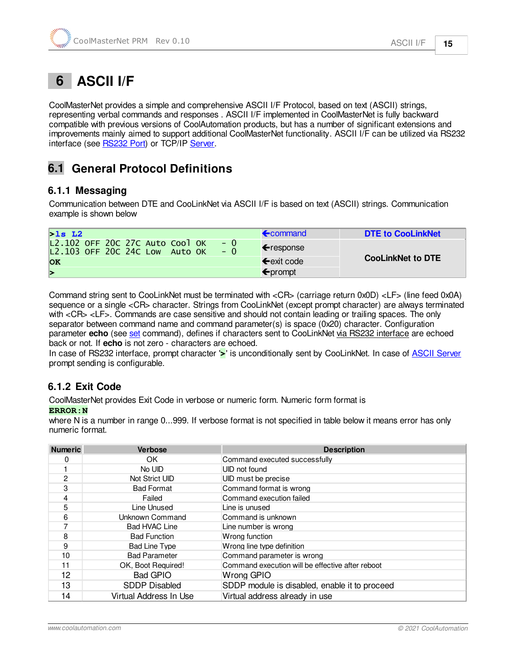# <span id="page-14-0"></span> **6 ASCII I/F**

CoolMasterNet provides a simple and comprehensive ASCII I/F Protocol, based on text (ASCII) strings, representing verbal commands and responses . ASCII I/F implemented in CoolMasterNet is fully backward compatible with previous versions of CoolAutomation products, but has a number of significant extensions and improvements mainly aimed to support additional CoolMasterNet functionality. ASCII I/F can be utilized via RS232 interface (see [RS232 Port](#page-8-0)) or TCP/IP [Server](#page-9-0).

# <span id="page-14-1"></span>**6.1 General Protocol Definitions**

### <span id="page-14-2"></span>**6.1.1 Messaging**

Communication between DTE and CooLinkNet via ASCII I/F is based on text (ASCII) strings. Communication example is shown below

| $>$ 1s L2                                                                          | $\epsilon$ command   | <b>DTE to CooLinkNet</b> |
|------------------------------------------------------------------------------------|----------------------|--------------------------|
| L2.102 OFF 20C 27C Auto Cool OK<br>$- 0$<br>L2.103 OFF 20C 24C Low Auto OK<br>$-0$ | ← response           |                          |
| <b>OK</b>                                                                          | $\epsilon$ exit code | <b>CooLinkNet to DTE</b> |
| ▶                                                                                  | $\epsilon$ prompt    |                          |

Command string sent to CooLinkNet must be terminated with <CR> (carriage return 0x0D) <LF> (line feed 0x0A) sequence or a single <CR> character. Strings from CooLinkNet (except prompt character) are always terminated with <CR> <LF>. Commands are case sensitive and should not contain leading or trailing spaces. The only separator between command name and command parameter(s) is space (0x20) character. Configuration parameter **echo** (see [set](#page-18-0) command), defines if characters sent to CooLinkNet via RS232 interface are echoed back or not. If **echo** is not zero - characters are echoed.

In case of RS232 interface, prompt character '**>**' is unconditionally sent by CooLinkNet. In case of [ASCII Server](#page-9-0) prompt sending is configurable.

## <span id="page-14-3"></span>**6.1.2 Exit Code**

CoolMasterNet provides Exit Code in verbose or numeric form. Numeric form format is

#### **ERROR:N**

where N is a number in range 0...999. If verbose format is not specified in table below it means error has only numeric format.

| <b>Numeric</b> | <b>Verbose</b>         | <b>Description</b>                               |
|----------------|------------------------|--------------------------------------------------|
| 0              | OK                     | Command executed successfully                    |
|                | No UID                 | UID not found                                    |
| $\mathfrak{p}$ | Not Strict UID         | UID must be precise                              |
| 3              | <b>Bad Format</b>      | Command format is wrong                          |
| 4              | Failed                 | Command execution failed                         |
| 5              | Line Unused            | Line is unused                                   |
| 6              | Unknown Command        | Command is unknown                               |
| 7              | Bad HVAC Line          | Line number is wrong                             |
| 8              | <b>Bad Function</b>    | Wrong function                                   |
| 9              | <b>Bad Line Type</b>   | Wrong line type definition                       |
| 10             | <b>Bad Parameter</b>   | Command parameter is wrong                       |
| 11             | OK, Boot Required!     | Command execution will be effective after reboot |
| 12             | <b>Bad GPIO</b>        | Wrong GPIO                                       |
| 13             | <b>SDDP Disabled</b>   | SDDP module is disabled, enable it to proceed    |
| 14             | Virtual Address In Use | Virtual address already in use                   |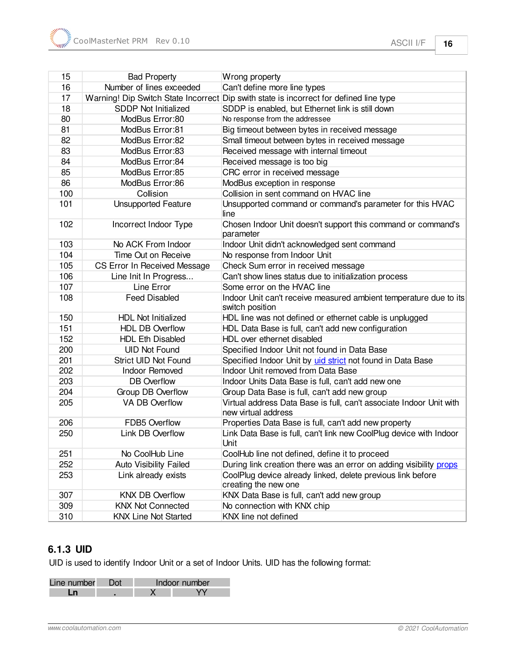| 15  | <b>Bad Property</b>          | Wrong property                                                                             |
|-----|------------------------------|--------------------------------------------------------------------------------------------|
| 16  | Number of lines exceeded     | Can't define more line types                                                               |
| 17  |                              | Warning! Dip Switch State Incorrect Dip swith state is incorrect for defined line type     |
| 18  | <b>SDDP Not Initialized</b>  | SDDP is enabled, but Ethernet link is still down                                           |
| 80  | ModBus Error:80              | No response from the addressee                                                             |
| 81  | ModBus Error:81              | Big timeout between bytes in received message                                              |
| 82  | ModBus Error:82              | Small timeout between bytes in received message                                            |
| 83  | ModBus Error:83              | Received message with internal timeout                                                     |
| 84  | ModBus Error:84              | Received message is too big                                                                |
| 85  | ModBus Error:85              | CRC error in received message                                                              |
| 86  | ModBus Error:86              | ModBus exception in response                                                               |
| 100 | Collision                    | Collision in sent command on HVAC line                                                     |
| 101 | <b>Unsupported Feature</b>   | Unsupported command or command's parameter for this HVAC<br>line                           |
| 102 | Incorrect Indoor Type        | Chosen Indoor Unit doesn't support this command or command's<br>parameter                  |
| 103 | No ACK From Indoor           | Indoor Unit didn't acknowledged sent command                                               |
| 104 | Time Out on Receive          | No response from Indoor Unit                                                               |
| 105 | CS Error In Received Message | Check Sum error in received message                                                        |
| 106 | Line Init In Progress        | Can't show lines status due to initialization process                                      |
| 107 | Line Error                   | Some error on the HVAC line                                                                |
| 108 | <b>Feed Disabled</b>         | Indoor Unit can't receive measured ambient temperature due to its<br>switch position       |
| 150 | <b>HDL Not Initialized</b>   | HDL line was not defined or ethernet cable is unplugged                                    |
| 151 | <b>HDL DB Overflow</b>       | HDL Data Base is full, can't add new configuration                                         |
| 152 | <b>HDL Eth Disabled</b>      | HDL over ethernet disabled                                                                 |
| 200 | <b>UID Not Found</b>         | Specified Indoor Unit not found in Data Base                                               |
| 201 | Strict UID Not Found         | Specified Indoor Unit by uid strict not found in Data Base                                 |
| 202 | <b>Indoor Removed</b>        | Indoor Unit removed from Data Base                                                         |
| 203 | <b>DB</b> Overflow           | Indoor Units Data Base is full, can't add new one                                          |
| 204 | Group DB Overflow            | Group Data Base is full, can't add new group                                               |
| 205 | <b>VA DB Overflow</b>        | Virtual address Data Base is full, can't associate Indoor Unit with<br>new virtual address |
| 206 | FDB5 Overflow                | Properties Data Base is full, can't add new property                                       |
| 250 | Link DB Overflow             | Link Data Base is full, can't link new CoolPlug device with Indoor<br>Unit                 |
| 251 | No CoolHub Line              | CoolHub line not defined, define it to proceed                                             |
| 252 | Auto Visibility Failed       | During link creation there was an error on adding visibility props                         |
| 253 | Link already exists          | CoolPlug device already linked, delete previous link before<br>creating the new one        |
| 307 | <b>KNX DB Overflow</b>       | KNX Data Base is full, can't add new group                                                 |
| 309 | <b>KNX Not Connected</b>     | No connection with KNX chip                                                                |
| 310 | <b>KNX Line Not Started</b>  | KNX line not defined                                                                       |

# <span id="page-15-0"></span>**6.1.3 UID**

UID is used to identify Indoor Unit or a set of Indoor Units. UID has the following format:

| Line number | n∩t | Indoor number |
|-------------|-----|---------------|
|             |     |               |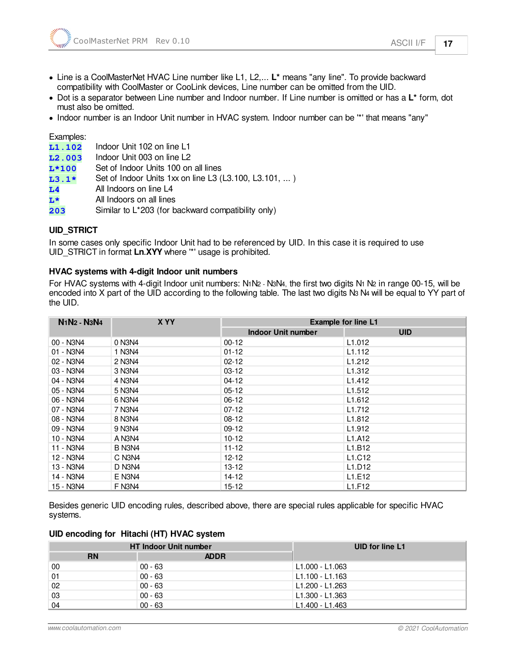- · Dot is a separator between Line number and Indoor number. If Line number is omitted or has a **L\*** form, dot must also be omitted.
- · Indoor number is an Indoor Unit number in HVAC system. Indoor number can be '\*' that means "any"

Examples:

| L1.102         | Indoor Unit 102 on line L1                            |
|----------------|-------------------------------------------------------|
| L2.003         | Indoor Unit 003 on line L2                            |
| $L*100$        | Set of Indoor Units 100 on all lines                  |
| $L3.1*$        | Set of Indoor Units 1xx on line L3 (L3.100, L3.101, ) |
| L <sub>4</sub> | All Indoors on line L4                                |
| L*             | All Indoors on all lines                              |

<span id="page-16-0"></span>**203** Similar to L\*203 (for backward compatibility only)

#### **UID\_STRICT**

In some cases only specific Indoor Unit had to be referenced by UID. In this case it is required to use UID\_STRICT in format **Ln.XYY** where '\*' usage is prohibited.

#### **HVAC systems with 4-digit Indoor unit numbers**

For HVAC systems with 4-digit Indoor unit numbers: N1N2 - N3N4, the first two digits N1 N2 in range 00-15, will be encoded into X part of the UID according to the following table. The last two digits N3 N4 will be equal to YY part of the UID.

| N <sub>1</sub> N <sub>2</sub> - N <sub>3</sub> N <sub>4</sub> | X YY   |                           | <b>Example for line L1</b>      |  |
|---------------------------------------------------------------|--------|---------------------------|---------------------------------|--|
|                                                               |        | <b>Indoor Unit number</b> | <b>UID</b>                      |  |
| 00 - N3N4                                                     | 0 N3N4 | $00-12$                   | L1.012                          |  |
| 01 - N3N4                                                     | 1 N3N4 | $01 - 12$                 | L <sub>1.112</sub>              |  |
| 02 - N3N4                                                     | 2 N3N4 | $02 - 12$                 | L <sub>1.212</sub>              |  |
| 03 - N3N4                                                     | 3 N3N4 | $03-12$                   | L <sub>1.312</sub>              |  |
| 04 - N3N4                                                     | 4 N3N4 | $04-12$                   | L <sub>1.412</sub>              |  |
| 05 - N3N4                                                     | 5 N3N4 | $05 - 12$                 | L <sub>1.512</sub>              |  |
| 06 - N3N4                                                     | 6 N3N4 | $06-12$                   | L <sub>1.612</sub>              |  |
| 07 - N3N4                                                     | 7 N3N4 | $07-12$                   | L1.712                          |  |
| 08 - N3N4                                                     | 8 N3N4 | $08-12$                   | L <sub>1.812</sub>              |  |
| 09 - N3N4                                                     | 9 N3N4 | $09-12$                   | L1.912                          |  |
| 10 - N3N4                                                     | A N3N4 | $10 - 12$                 | L <sub>1</sub> .A <sub>12</sub> |  |
| 11 - N3N4                                                     | B N3N4 | $11 - 12$                 | L1.B12                          |  |
| 12 - N3N4                                                     | C N3N4 | $12 - 12$                 | L1.C12                          |  |
| 13 - N3N4                                                     | D N3N4 | $13 - 12$                 | L1.D12                          |  |
| 14 - N3N4                                                     | E N3N4 | 14-12                     | L1.E12                          |  |
| 15 - N3N4                                                     | F N3N4 | $15 - 12$                 | L1.F12                          |  |

Besides generic UID encoding rules, described above, there are special rules applicable for specific HVAC systems.

#### **UID encoding for Hitachi (HT) HVAC system**

|           | <b>HT Indoor Unit number</b> | UID for line L1 |
|-----------|------------------------------|-----------------|
| <b>RN</b> | <b>ADDR</b>                  |                 |
| 00        | $00 - 63$                    | L1.000 - L1.063 |
| 01        | $00 - 63$                    | L1.100 - L1.163 |
| 02        | $00 - 63$                    | L1.200 - L1.263 |
| 03        | $00 - 63$                    | L1.300 - L1.363 |
| 04        | $00 - 63$                    | L1.400 - L1.463 |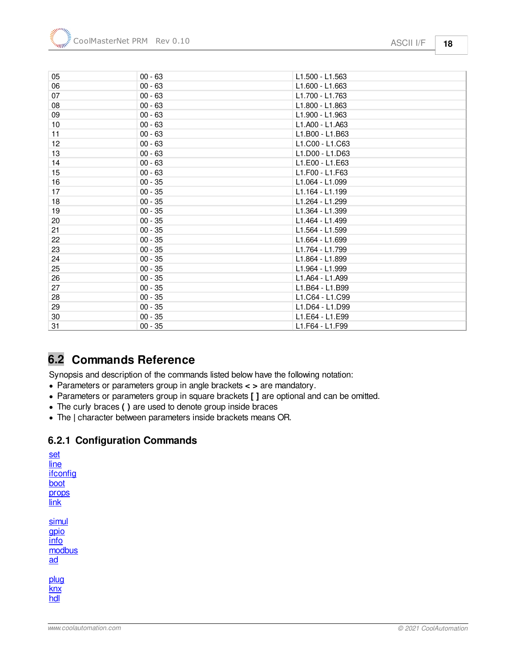| 05              | $00 - 63$ | L1.500 - L1.563 |
|-----------------|-----------|-----------------|
| 06              | $00 - 63$ | L1.600 - L1.663 |
| 07              | $00 - 63$ | L1.700 - L1.763 |
| 08              | $00 - 63$ | L1.800 - L1.863 |
| 09              | $00 - 63$ | L1.900 - L1.963 |
| 10 <sup>°</sup> | $00 - 63$ | L1.A00 - L1.A63 |
| 11              | $00 - 63$ | L1.B00 - L1.B63 |
| 12              | $00 - 63$ | L1.C00 - L1.C63 |
| 13              | $00 - 63$ | L1.D00 - L1.D63 |
| 14              | $00 - 63$ | L1.E00 - L1.E63 |
| 15              | $00 - 63$ | L1.F00 - L1.F63 |
| 16              | $00 - 35$ | L1.064 - L1.099 |
| 17              | $00 - 35$ | L1.164 - L1.199 |
| 18              | $00 - 35$ | L1.264 - L1.299 |
| 19              | $00 - 35$ | L1.364 - L1.399 |
| 20              | $00 - 35$ | L1.464 - L1.499 |
| 21              | $00 - 35$ | L1.564 - L1.599 |
| 22              | $00 - 35$ | L1.664 - L1.699 |
| 23              | $00 - 35$ | L1.764 - L1.799 |
| 24              | $00 - 35$ | L1.864 - L1.899 |
| 25              | $00 - 35$ | L1.964 - L1.999 |
| 26              | $00 - 35$ | L1.A64 - L1.A99 |
| 27              | $00 - 35$ | L1.B64 - L1.B99 |
| 28              | $00 - 35$ | L1.C64 - L1.C99 |
| 29              | $00 - 35$ | L1.D64 - L1.D99 |
| 30              | $00 - 35$ | L1.E64 - L1.E99 |
| 31              | $00 - 35$ | L1.F64 - L1.F99 |

# <span id="page-17-0"></span>**6.2 Commands Reference**

Synopsis and description of the commands listed below have the following notation:

- · Parameters or parameters group in angle brackets **< >** are mandatory.
- · Parameters or parameters group in square brackets **[ ]** are optional and can be omitted.
- · The curly braces **( )** are used to denote group inside braces
- · The **|** character between parameters inside brackets means OR.

### <span id="page-17-1"></span>**6.2.1 Configuration Commands**

| line<br>ifconfig<br>boot<br>props<br>link |
|-------------------------------------------|
| simul<br>gpio<br>info<br>modbus<br>ad     |
| plug<br>knx<br>hdl                        |

[set](#page-18-0)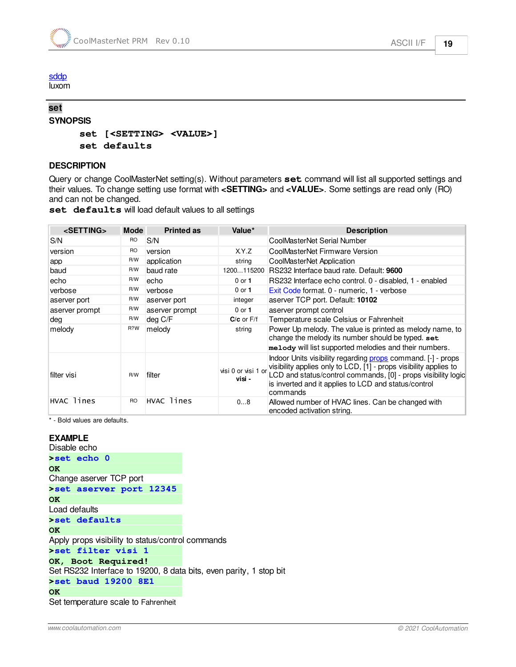[sddp](#page-22-1) luxom

#### <span id="page-18-0"></span>**set SYNOPSIS**

**set [<SETTING> <VALUE>] set defaults**

#### **DESCRIPTION**

Query or change CoolMasterNet setting(s). Without parameters **set** command will list all supported settings and their values. To change setting use format with **<SETTING>** and **<VALUE>**. Some settings are read only (RO) and can not be changed.

|  | set defaults will load default values to all settings |  |  |  |  |  |
|--|-------------------------------------------------------|--|--|--|--|--|
|--|-------------------------------------------------------|--|--|--|--|--|

| <setting></setting> | <b>Mode</b> | <b>Printed as</b> | Value*                        | <b>Description</b>                                                                                                                                                                                                                                                     |
|---------------------|-------------|-------------------|-------------------------------|------------------------------------------------------------------------------------------------------------------------------------------------------------------------------------------------------------------------------------------------------------------------|
| S/N                 | RO          | S/N               |                               | CoolMasterNet Serial Number                                                                                                                                                                                                                                            |
| version             | <b>RO</b>   | version           | XY.Z                          | CoolMasterNet Firmware Version                                                                                                                                                                                                                                         |
| app                 | R/W         | application       | string                        | CoolMasterNet Application                                                                                                                                                                                                                                              |
| baud                | R/W         | baud rate         | 1200115200                    | RS232 Interface baud rate. Default: 9600                                                                                                                                                                                                                               |
| echo                | R/W         | echo              | $0$ or $1$                    | RS232 Interface echo control, 0 - disabled, 1 - enabled                                                                                                                                                                                                                |
| verbose             | R/W         | verbose           | $0$ or $1$                    | Exit Code format. 0 - numeric, 1 - verbose                                                                                                                                                                                                                             |
| aserver port        | R/W         | aserver port      | integer                       | aserver TCP port. Default: 10102                                                                                                                                                                                                                                       |
| aserver prompt      | R/W         | aserver prompt    | $0$ or $1$                    | aserver prompt control                                                                                                                                                                                                                                                 |
| dea                 | R/W         | deg C/F           | $C/c$ or $F/f$                | Temperature scale Celsius or Fahrenheit                                                                                                                                                                                                                                |
| melody              | R?W         | melody            | string                        | Power Up melody. The value is printed as melody name, to<br>change the melody its number should be typed. set<br>melody will list supported melodies and their numbers.                                                                                                |
| filter visi         | R/W         | filter            | visi 0 or visi 1 or<br>visi - | Indoor Units visibility regarding props command. [-] - props<br>visibility applies only to LCD, [1] - props visibility applies to<br>LCD and status/control commands, [0] - props visibility logic<br>is inverted and it applies to LCD and status/control<br>commands |
| <b>HVAC</b> lines   | RO          | HVAC lines        | 08                            | Allowed number of HVAC lines. Can be changed with<br>encoded activation string.                                                                                                                                                                                        |

\* - Bold values are defaults.

#### **EXAMPLE**

Disable echo **>set echo 0 OK**  Change aserver TCP port **>set aserver port 12345 OK**  Load defaults **>set defaults OK**  Apply props visibility to status/control commands **>set filter visi 1 OK, Boot Required!**  Set RS232 Interface to 19200, 8 data bits, even parity, 1 stop bit **>set baud 19200 8E1 OK**  Set temperature scale to Fahrenheit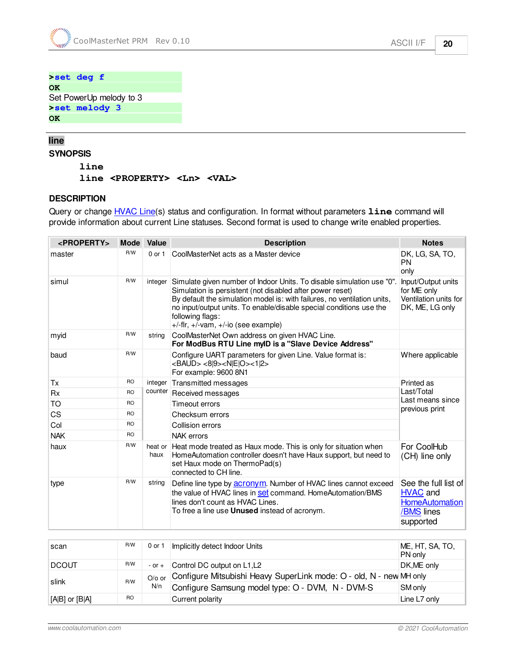**>set deg f OK**  Set PowerUp melody to 3 **>set melody 3 OK** 

#### <span id="page-19-0"></span>**line SYNOPSIS**

**line**

**line <PROPERTY> <Ln> <VAL>**

#### **DESCRIPTION**

Query or change **[HVAC Line](#page-7-1)(s)** status and configuration. In format without parameters **line** command will provide information about current Line statuses. Second format is used to change write enabled properties.

| <property></property> |           | Mode Value      | <b>Description</b>                                                                                                                                                                                                                                                                                                                                        | <b>Notes</b>                                                                                |  |  |  |  |  |                 |                                    |
|-----------------------|-----------|-----------------|-----------------------------------------------------------------------------------------------------------------------------------------------------------------------------------------------------------------------------------------------------------------------------------------------------------------------------------------------------------|---------------------------------------------------------------------------------------------|--|--|--|--|--|-----------------|------------------------------------|
| master                | R/W       | $0$ or $1$      | CoolMasterNet acts as a Master device                                                                                                                                                                                                                                                                                                                     | DK, LG, SA, TO,<br><b>PN</b><br>only                                                        |  |  |  |  |  |                 |                                    |
| simul                 | R/W       | integer         | Simulate given number of Indoor Units. To disable simulation use "0".<br>Simulation is persistent (not disabled after power reset)<br>By default the simulation model is: with failures, no ventilation units,<br>no input/output units. To enable/disable special conditions use the<br>following flags:<br>$+/-$ flr, $+/-$ vam, $+/-$ io (see example) | Input/Output units<br>for ME only<br>Ventilation units for<br>DK, ME, LG only               |  |  |  |  |  |                 |                                    |
| myid                  | R/W       | string          | CoolMasterNet Own address on given HVAC Line.<br>For ModBus RTU Line myID is a "Slave Device Address"                                                                                                                                                                                                                                                     |                                                                                             |  |  |  |  |  |                 |                                    |
| baud                  | R/W       |                 | Configure UART parameters for given Line. Value format is:<br><baud> &lt;8 9&gt;<n e o>&lt;1 2&gt;<br/>For example: 9600 8N1</n e o></baud>                                                                                                                                                                                                               | Where applicable                                                                            |  |  |  |  |  |                 |                                    |
| Tx                    | <b>RO</b> | integer         | Transmitted messages                                                                                                                                                                                                                                                                                                                                      | Printed as                                                                                  |  |  |  |  |  |                 |                                    |
| <b>Rx</b>             | <b>RO</b> |                 | counter Received messages                                                                                                                                                                                                                                                                                                                                 | Last/Total                                                                                  |  |  |  |  |  |                 |                                    |
| TO                    | <b>RO</b> |                 |                                                                                                                                                                                                                                                                                                                                                           |                                                                                             |  |  |  |  |  | Timeout errors  | Last means since<br>previous print |
| CS                    | <b>RO</b> |                 |                                                                                                                                                                                                                                                                                                                                                           |                                                                                             |  |  |  |  |  | Checksum errors |                                    |
| Col                   | <b>RO</b> |                 | Collision errors                                                                                                                                                                                                                                                                                                                                          |                                                                                             |  |  |  |  |  |                 |                                    |
| <b>NAK</b>            | <b>RO</b> |                 | <b>NAK</b> errors                                                                                                                                                                                                                                                                                                                                         |                                                                                             |  |  |  |  |  |                 |                                    |
| haux                  | R/W       | heat or<br>haux | Heat mode treated as Haux mode. This is only for situation when<br>HomeAutomation controller doesn't have Haux support, but need to<br>set Haux mode on ThermoPad(s)<br>connected to CH line.                                                                                                                                                             | For CoolHub<br>(CH) line only                                                               |  |  |  |  |  |                 |                                    |
| type                  | R/W       | string          | Define line type by <b>acronym</b> . Number of HVAC lines cannot exceed<br>the value of HVAC lines in set command. HomeAutomation/BMS<br>lines don't count as HVAC Lines.<br>To free a line use <b>Unused</b> instead of acronym.                                                                                                                         | See the full list of<br><b>HVAC and</b><br><b>HomeAutomation</b><br>/BMS lines<br>supported |  |  |  |  |  |                 |                                    |

| scan               | R/W       | 0 or 1     | Implicitly detect Indoor Units                                             | ME, HT, SA, TO,<br>PN only |
|--------------------|-----------|------------|----------------------------------------------------------------------------|----------------------------|
| DCOUT              | R/W       | $-$ or $+$ | Control DC output on L1,L2                                                 | DK, ME only                |
|                    | R/W       |            | O/o or Configure Mitsubishi Heavy SuperLink mode: O - old, N - new MH only |                            |
| slink              |           | N/n        | Configure Samsung model type: O - DVM, N - DVM-S                           | SM only                    |
| $[A B]$ or $[B A]$ | <b>RO</b> |            | Current polarity                                                           | Line L7 only               |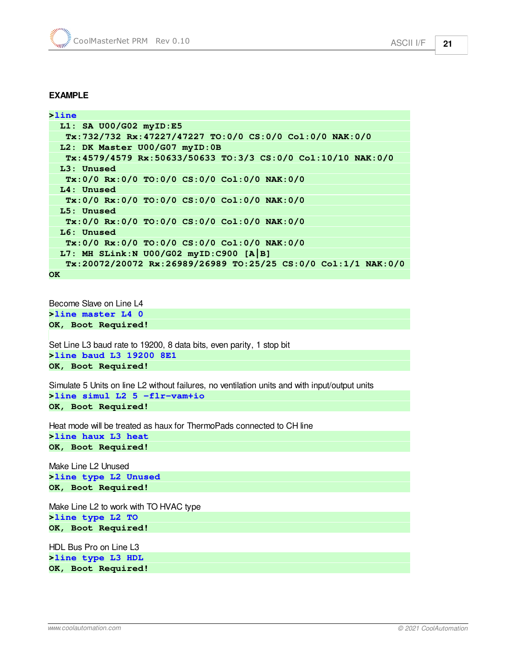#### **EXAMPLE**

**>line L1: SA U00/G02 myID:E5 Tx:732/732 Rx:47227/47227 TO:0/0 CS:0/0 Col:0/0 NAK:0/0 L2: DK Master U00/G07 myID:0B Tx:4579/4579 Rx:50633/50633 TO:3/3 CS:0/0 Col:10/10 NAK:0/0 L3: Unused Tx:0/0 Rx:0/0 TO:0/0 CS:0/0 Col:0/0 NAK:0/0 L4: Unused Tx:0/0 Rx:0/0 TO:0/0 CS:0/0 Col:0/0 NAK:0/0 L5: Unused Tx:0/0 Rx:0/0 TO:0/0 CS:0/0 Col:0/0 NAK:0/0 L6: Unused Tx:0/0 Rx:0/0 TO:0/0 CS:0/0 Col:0/0 NAK:0/0 L7: MH SLink:N U00/G02 myID:C900 [A|B] Tx:20072/20072 Rx:26989/26989 TO:25/25 CS:0/0 Col:1/1 NAK:0/0 OK** 

Become Slave on Line L4 **>line master L4 0 OK, Boot Required!** 

Set Line L3 baud rate to 19200, 8 data bits, even parity, 1 stop bit **>line baud L3 19200 8E1 OK, Boot Required!** 

Simulate 5 Units on line L2 without failures, no ventilation units and with input/output units **>line simul L2 5 -flr-vam+io OK, Boot Required!** 

Heat mode will be treated as haux for ThermoPads connected to CH line

**>line haux L3 heat OK, Boot Required!** 

Make Line L2 Unused **>line type L2 Unused OK, Boot Required!** 

Make Line L2 to work with TO HVAC type **>line type L2 TO OK, Boot Required!** 

HDL Bus Pro on Line L3 **>line type L3 HDL OK, Boot Required!**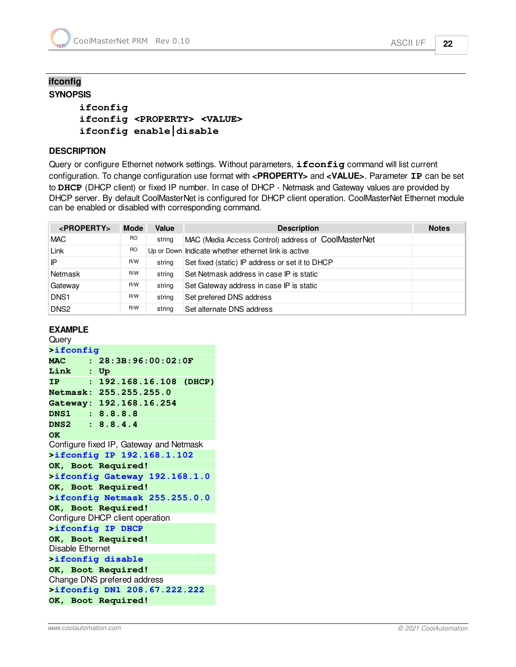#### <span id="page-21-0"></span>**ifconfig SYNOPSIS**

### **ifconfig ifconfig <PROPERTY> <VALUE> ifconfig enable|disable**

#### **DESCRIPTION**

Query or configure Ethernet network settings. Without parameters, **ifconfig** command will list current configuration. To change configuration use format with **<PROPERTY>** and **<VALUE>**. Parameter **IP** can be set to **DHCP** (DHCP client) or fixed IP number. In case of DHCP - Netmask and Gateway values are provided by DHCP server. By default CoolMasterNet is configured for DHCP client operation. CoolMasterNet Ethernet module can be enabled or disabled with corresponding command.

| $<$ PROPERTY>    | <b>Mode</b> | Value  | <b>Description</b>                                  | <b>Notes</b> |
|------------------|-------------|--------|-----------------------------------------------------|--------------|
| <b>MAC</b>       | <b>RO</b>   | string | MAC (Media Access Control) address of CoolMasterNet |              |
| Link             | <b>RO</b>   |        | Up or Down Indicate whether ethernet link is active |              |
| IP               | R/W         | string | Set fixed (static) IP address or set it to DHCP     |              |
| Netmask          | R/W         | string | Set Netmask address in case IP is static            |              |
| Gateway          | R/W         | string | Set Gateway address in case IP is static            |              |
| DNS <sub>1</sub> | R/W         | string | Set prefered DNS address                            |              |
| DNS <sub>2</sub> | R/W         | string | Set alternate DNS address                           |              |

#### **EXAMPLE**

**Query >ifconfig MAC : 28:3B:96:00:02:0F Link : Up IP : 192.168.16.108 (DHCP) Netmask: 255.255.255.0 Gateway: 192.168.16.254 DNS1 : 8.8.8.8 DNS2 : 8.8.4.4 OK**  Configure fixed IP, Gateway and Netmask **>ifconfig IP 192.168.1.102 OK, Boot Required! >ifconfig Gateway 192.168.1.0 OK, Boot Required! >ifconfig Netmask 255.255.0.0 OK, Boot Required!**  Configure DHCP client operation **>ifconfig IP DHCP OK, Boot Required!**  Disable Ethernet **>ifconfig disable OK, Boot Required!**  Change DNS prefered address **>ifconfig DN1 208.67.222.222 OK, Boot Required!**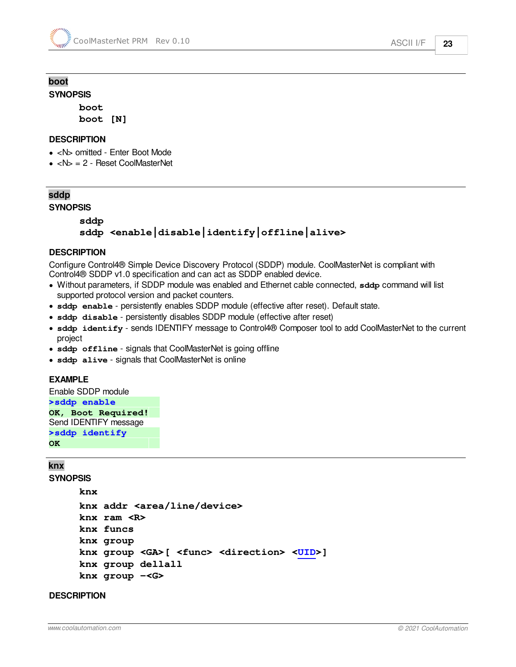# <span id="page-22-0"></span>**boot**

**SYNOPSIS**

**boot boot [N]**

#### **DESCRIPTION**

- <N> omitted Enter Boot Mode
- $\bullet$  <N $>$  = 2 Reset CoolMasterNet

## <span id="page-22-1"></span>**sddp**

**SYNOPSIS**

### **sddp sddp <enable|disable|identify|offline|alive>**

#### **DESCRIPTION**

Configure Control4® Simple Device Discovery Protocol (SDDP) module. CoolMasterNet is compliant with Control4® SDDP v1.0 specification and can act as SDDP enabled device.

- · Without parameters, if SDDP module was enabled and Ethernet cable connected, **sddp** command will list supported protocol version and packet counters.
- · **sddp enable** persistently enables SDDP module (effective after reset). Default state.
- · **sddp disable** persistently disables SDDP module (effective after reset)
- · **sddp identify** sends IDENTIFY message to Control4® Composer tool to add CoolMasterNet to the current project
- **sddp** of fline signals that CoolMasterNet is going offline
- · **sddp alive** signals that CoolMasterNet is online

#### **EXAMPLE**

```
Enable SDDP module
>sddp enable 
OK, Boot Required! 
Send IDENTIFY message
>sddp identify 
OK
```
#### <span id="page-22-2"></span>**knx**

**SYNOPSIS**

```
knx
knx addr <area/line/device> 
knx ram <R>
knx funcs
knx group
knx group <GA>[ <func> <direction> <UID>]
knx group dellall
knx group -<G>
```
#### **DESCRIPTION**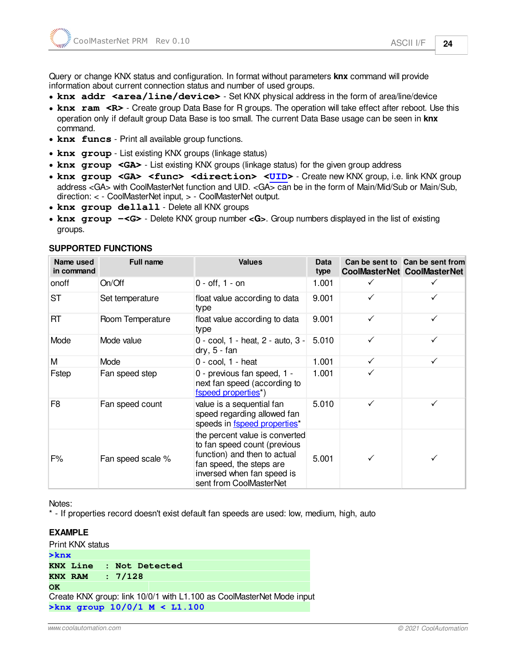- knx addr <area/line/device> Set KNX physical address in the form of area/line/device
- knx ram <R> Create group Data Base for R groups. The operation will take effect after reboot. Use this operation only if default group Data Base is too small. The current Data Base usage can be seen in **knx** command.
- · **knx funcs** Print all available group functions.
- · **knx group** List existing KNX groups (linkage status)
- knx group <GA> List existing KNX groups (linkage status) for the given group address
- · **knx group <GA> <func> <direction> <[UID](#page-15-0)>** Create new KNX group, i.e. link KNX group address <GA> with CoolMasterNet function and UID. <GA> can be in the form of Main/Mid/Sub or Main/Sub, direction: < - CoolMasterNet input, > - CoolMasterNet output.
- · **knx group dellall** Delete all KNX groups
- · **knx group -<G>** Delete KNX group number **<G>**. Group numbers displayed in the list of existing groups.

| Name used<br>in command | <b>Full name</b>  | <b>Values</b>                                                                                                                                                                       | <b>Data</b><br>type |              | Can be sent to Can be sent from<br><b>CoolMasterNet CoolMasterNet</b> |
|-------------------------|-------------------|-------------------------------------------------------------------------------------------------------------------------------------------------------------------------------------|---------------------|--------------|-----------------------------------------------------------------------|
| onoff                   | On/Off            | $0 - off, 1 - on$                                                                                                                                                                   | 1.001               |              |                                                                       |
| ST                      | Set temperature   | float value according to data<br>type                                                                                                                                               | 9.001               |              |                                                                       |
| RT                      | Room Temperature  | float value according to data<br>type                                                                                                                                               | 9.001               | ✓            | ✓                                                                     |
| Mode                    | Mode value        | 0 - cool, 1 - heat, 2 - auto, 3 -<br>$dry, 5 - fan$                                                                                                                                 | 5.010               | $\checkmark$ | ✓                                                                     |
| M                       | Mode              | $0 - \text{cool}$ , $1 - \text{heat}$                                                                                                                                               | 1.001               | ✓            | ✓                                                                     |
| Fstep                   | Fan speed step    | 0 - previous fan speed, 1 -<br>next fan speed (according to<br>fspeed properties <sup>*</sup> )                                                                                     | 1.001               |              |                                                                       |
| F8                      | Fan speed count   | value is a sequential fan<br>speed regarding allowed fan<br>speeds in fspeed properties*                                                                                            | 5.010               |              |                                                                       |
| F%                      | Fan speed scale % | the percent value is converted<br>to fan speed count (previous<br>function) and then to actual<br>fan speed, the steps are<br>inversed when fan speed is<br>sent from CoolMasterNet | 5.001               |              |                                                                       |

#### **SUPPORTED FUNCTIONS**

Notes:

\* - If properties record doesn't exist default fan speeds are used: low, medium, high, auto

#### **EXAMPLE**

Print KNX status

| $>$ knx |                                |                |  |  |                                                                       |  |
|---------|--------------------------------|----------------|--|--|-----------------------------------------------------------------------|--|
|         | <b>KNX Line</b>                | : Not Detected |  |  |                                                                       |  |
|         | <b>KNX RAM</b>                 | : 7/128        |  |  |                                                                       |  |
| OK      |                                |                |  |  |                                                                       |  |
|         |                                |                |  |  | Create KNX group: link 10/0/1 with L1.100 as CoolMasterNet Mode input |  |
|         | >knx group $10/0/1$ M < L1.100 |                |  |  |                                                                       |  |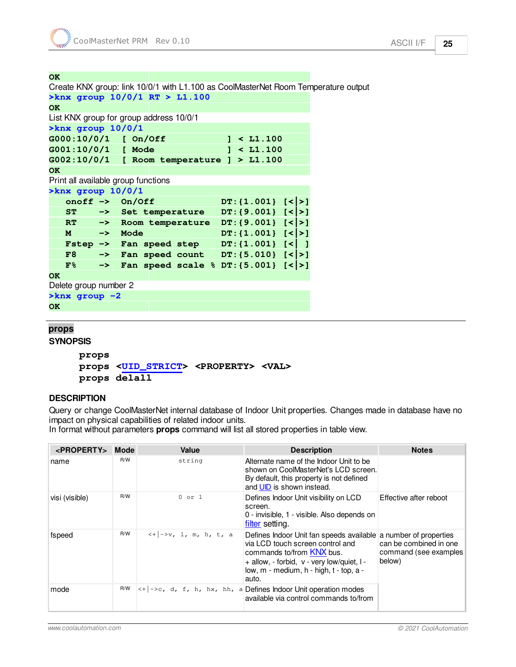#### **OK**

Create KNX group: link 10/0/1 with L1.100 as CoolMasterNet Room Temperature output **>knx group 10/0/1 RT > L1.100 OK**  List KNX group for group address 10/0/1 **>knx group 10/0/1 G000:10/0/1 [ On/Off ] < L1.100 G001:10/0/1 [ Mode ] < L1.100 G002:10/0/1 [ Room temperature ] > L1.100 OK**  Print all available group functions **>knx group 10/0/1 onoff ->** On/Off DT:{1.001}  $\lfloor \langle \cdot | \cdot \rangle \rfloor$  **ST -> Set temperature DT:{9.001} [<|>] RT -> Room temperature DT:{9.001} [<|>] M -> Mode DT:{1.001} [<|>] Fstep -> Fan speed step DT:{1.001} [<| ] F8 -> Fan speed count DT:{5.010} [<|>] F% -> Fan speed scale % DT:{5.001} [<|>] OK**  Delete group number 2 **>knx group -2 OK** 

#### <span id="page-24-0"></span>**props**

#### **SYNOPSIS**

**props props <[UID\\_STRICT>](#page-15-0) <PROPERTY> <VAL> props delall**

#### **DESCRIPTION**

Query or change CoolMasterNet internal database of Indoor Unit properties. Changes made in database have no impact on physical capabilities of related indoor units.

In format without parameters **props** command will list all stored properties in table view.

| <property> Mode</property> |     | Value                                                                                                        | <b>Description</b>                                                                                                                                                                                                                 | <b>Notes</b>                                              |
|----------------------------|-----|--------------------------------------------------------------------------------------------------------------|------------------------------------------------------------------------------------------------------------------------------------------------------------------------------------------------------------------------------------|-----------------------------------------------------------|
| name                       | R/W | string                                                                                                       | Alternate name of the Indoor Unit to be<br>shown on CoolMasterNet's LCD screen.<br>By default, this property is not defined<br>and UID is shown instead.                                                                           |                                                           |
| visi (visible)             | R/W | $0$ or $1$                                                                                                   | Defines Indoor Unit visibility on LCD<br>screen.<br>0 - invisible, 1 - visible. Also depends on<br>filter setting.                                                                                                                 | Effective after reboot                                    |
| fspeed                     | R/W | $\left  \langle +   - \rangle \mathbf{v}, 1, \mathbf{m}, \mathbf{h}, \mathbf{t}, \mathbf{a} \rangle \right $ | Defines Indoor Unit fan speeds available a number of properties<br>via LCD touch screen control and<br>commands to/from KNX bus.<br>+ allow, - forbid, v - very low/quiet, I -<br>low, m - medium, h - high, t - top, a -<br>auto. | can be combined in one<br>command (see examples<br>below) |
| mode                       | R/W |                                                                                                              | $\left  \langle +   - \rangle \right $ c, d, f, h, hx, hh, a Defines Indoor Unit operation modes<br>available via control commands to/from                                                                                         |                                                           |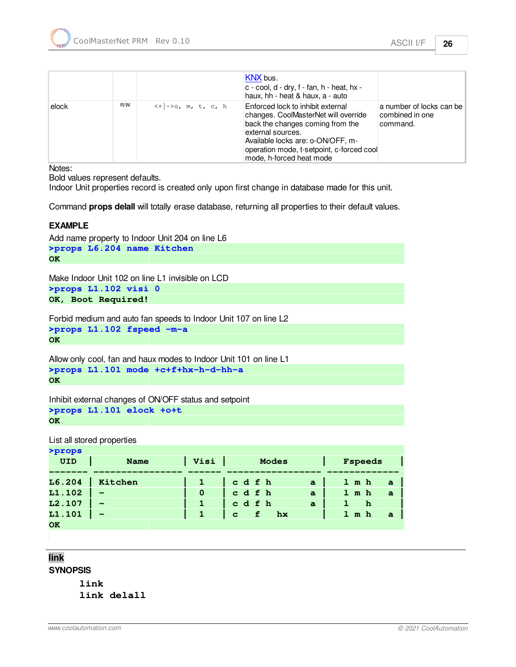|       |     |                                                      | KNX bus.<br>$c$ - cool, d - dry, f - fan, h - heat, hx -<br>haux, hh - heat & haux, a - auto                                                                                                                                                     |                                                         |
|-------|-----|------------------------------------------------------|--------------------------------------------------------------------------------------------------------------------------------------------------------------------------------------------------------------------------------------------------|---------------------------------------------------------|
| elock | R/W | $\left  \langle +   - \rangle_0, m, t, c, h \right $ | Enforced lock to inhibit external<br>changes. CoolMasterNet will override<br>back the changes coming from the<br>external sources.<br>Available locks are: o-ON/OFF, m-<br>operation mode, t-setpoint, c-forced cool<br>mode, h-forced heat mode | a number of locks can be<br>combined in one<br>command. |

Notes:

Bold values represent defaults.

Indoor Unit properties record is created only upon first change in database made for this unit.

Command **props delall** will totally erase database, returning all properties to their default values.

#### **EXAMPLE**

Add name property to Indoor Unit 204 on line L6 **>props L6.204 name Kitchen OK** 

Make Indoor Unit 102 on line L1 invisible on LCD **>props L1.102 visi 0 OK, Boot Required!** 

Forbid medium and auto fan speeds to Indoor Unit 107 on line L2

**>props L1.102 fspeed -m-a** 

**OK** 

Allow only cool, fan and haux modes to Indoor Unit 101 on line L1 **>props L1.101 mode +c+f+hx-h-d-hh-a OK** 

Inhibit external changes of ON/OFF status and setpoint

```
>props L1.101 elock +o+t 
OK
```
List all stored properties

| >props     |             |      |                         |              |                            |
|------------|-------------|------|-------------------------|--------------|----------------------------|
| <b>UID</b> | <b>Name</b> | Visi | <b>Modes</b>            |              | Fspeeds                    |
|            |             |      |                         |              |                            |
| L6.204     | Kitchen     |      | cdfh                    | a            | $1 \t m h$<br>$\mathbf{a}$ |
| L1.102     |             | 0    | cdfh                    | $\mathbf{a}$ | $1$ m h<br>$\mathbf{a}$    |
| L2.107     |             |      | cdfh                    | a            | h                          |
| L1.101     |             | 1    | hx<br>f<br>$\mathbf{C}$ |              | $1 \t m h$<br>$\mathbf{a}$ |
| <b>OK</b>  |             |      |                         |              |                            |

<span id="page-25-0"></span>**link**

**SYNOPSIS**

**link link delall**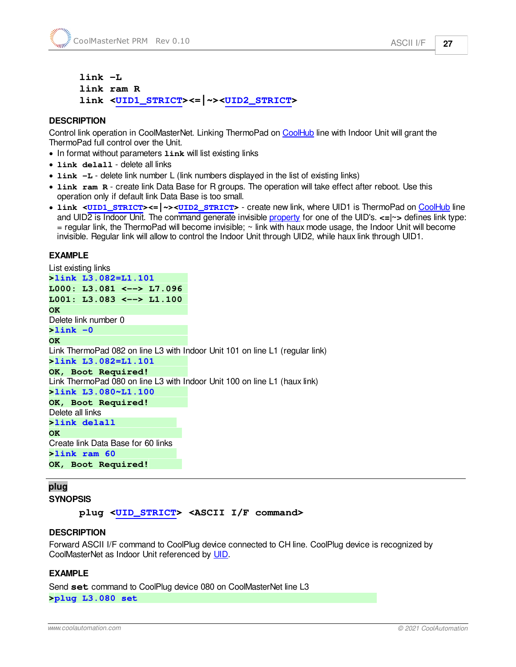```
link -L
link ram R
link <UID1_STRICT><=|~><UID2_STRICT>
```
#### **DESCRIPTION**

Control link operation in CoolMasterNet. Linking ThermoPad on [CoolHub](#page-7-2) line with Indoor Unit will grant the ThermoPad full control over the Unit.

- In format without parameters  $\lim_{k}$  will list existing links
- · **link delall** delete all links
- · **link -L** delete link number L (link numbers displayed in the list of existing links)
- · **link ram R** create link Data Base for R groups. The operation will take effect after reboot. Use this operation only if default link Data Base is too small.
- · **link <[UID1\\_STRICT>](#page-16-0)<=|~><[UID2\\_STRICT>](#page-16-0)** create new link, where UID1 is ThermoPad on [CoolHub](#page-7-2) line and UID2 is Indoor Unit. The command generate invisible [property](#page-24-0) for one of the UID's. **<=|~>** defines link type:  $=$  regular link, the ThermoPad will become invisible;  $\sim$  link with haux mode usage, the Indoor Unit will become invisible. Regular link will allow to control the Indoor Unit through UID2, while haux link through UID1.

#### **EXAMPLE**

List existing links **>link L3.082=L1.101 L000: L3.081 <--> L7.096 L001: L3.083 <--> L1.100 OK**  Delete link number 0 **>link -0 OK**  Link ThermoPad 082 on line L3 with Indoor Unit 101 on line L1 (regular link) **>link L3.082=L1.101 OK, Boot Required!**  Link ThermoPad 080 on line L3 with Indoor Unit 100 on line L1 (haux link) **>link L3.080~L1.100 OK, Boot Required!**  Delete all links **>link delall OK**  Create link Data Base for 60 links **>link ram 60 OK, Boot Required!** 

#### <span id="page-26-0"></span>**plug**

**SYNOPSIS**

**plug [<UID\\_STRICT](#page-15-0)> <ASCII I/F command>**

#### **DESCRIPTION**

Forward ASCII I/F command to CoolPlug device connected to CH line. CoolPlug device is recognized by CoolMasterNet as Indoor Unit referenced by [UID.](#page-15-0)

#### **EXAMPLE**

Send **set** command to CoolPlug device 080 on CoolMasterNet line L3 **>plug L3.080 set**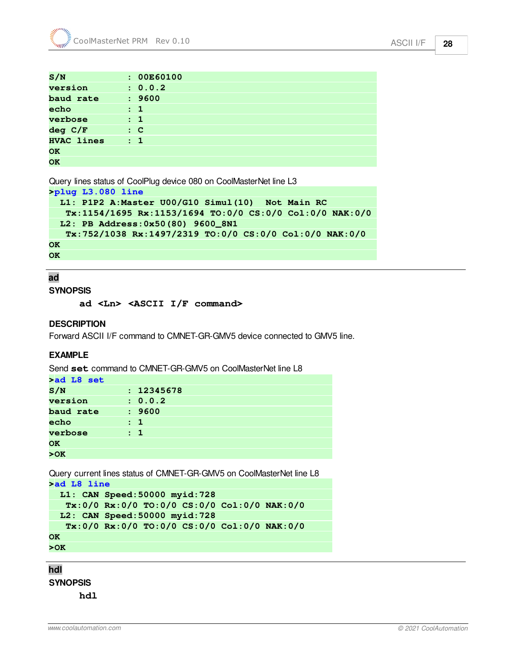| S/N               | : 00E60100     |
|-------------------|----------------|
| version           | : 0.0.2        |
| baud rate         | : 9600         |
| echo              | $\therefore$ 1 |
| verbose           | $\therefore$ 1 |
| deg C/F           | $\therefore$ C |
| <b>HVAC lines</b> | $\therefore$ 1 |
| <b>OK</b>         |                |
| OK                |                |

Query lines status of CoolPlug device 080 on CoolMasterNet line L3

```
>plug L3.080 line 
  L1: P1P2 A:Master U00/G10 Simul(10) Not Main RC 
    Tx:1154/1695 Rx:1153/1694 TO:0/0 CS:0/0 Col:0/0 NAK:0/0 
  L2: PB Address:0x50(80) 9600_8N1 
    Tx:752/1038 Rx:1497/2319 TO:0/0 CS:0/0 Col:0/0 NAK:0/0 
OK
```
**OK** 

#### <span id="page-27-0"></span>**ad**

#### **SYNOPSIS**

**ad <Ln> <ASCII I/F command>**

#### **DESCRIPTION**

Forward ASCII I/F command to CMNET-GR-GMV5 device connected to GMV5 line.

#### **EXAMPLE**

Send **set** command to CMNET-GR-GMV5 on CoolMasterNet line L8

| >ad L8 set |                |
|------------|----------------|
| S/N        | : 12345678     |
| version    | : 0.0.2        |
| baud rate  | : 9600         |
| echo       | : 1            |
| verbose    | $\therefore$ 1 |
| <b>OK</b>  |                |
| >0K        |                |

```
Query current lines status of CMNET-GR-GMV5 on CoolMasterNet line L8
>ad L8 line
```

```
 L1: CAN Speed:50000 myid:728 
    Tx:0/0 Rx:0/0 TO:0/0 CS:0/0 Col:0/0 NAK:0/0 
  L2: CAN Speed:50000 myid:728 
    Tx:0/0 Rx:0/0 TO:0/0 CS:0/0 Col:0/0 NAK:0/0 
OK 
>OK
```
<span id="page-27-1"></span>**hdl**

**SYNOPSIS**

**hdl**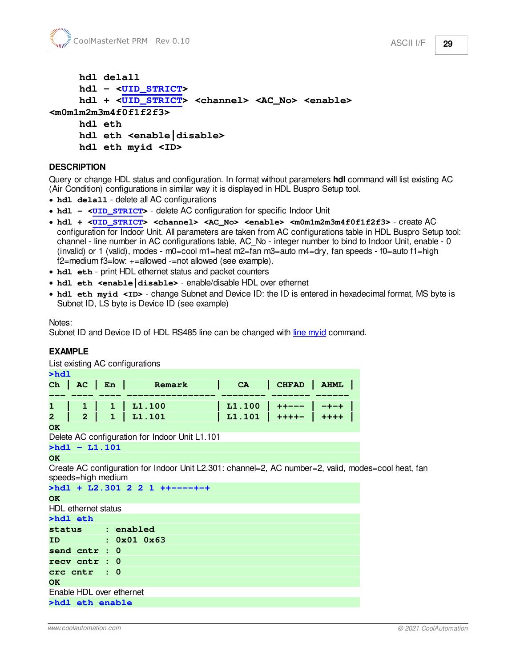```
hdl delall
    hdl - <UID_STRICT>
    hdl + <UID_STRICT> <channel> <AC_No> <enable>
<m0m1m2m3m4f0f1f2f3>
    hdl eth
    hdl eth <enable|disable>
```
**hdl eth myid <ID>**

#### **DESCRIPTION**

Query or change HDL status and configuration. In format without parameters **hdl** command will list existing AC (Air Condition) configurations in similar way it is displayed in HDL Buspro Setup tool.

- · **hdl delall** delete all AC configurations
- **hdl** <**[UID\\_STRICT>](#page-16-0)** delete AC configuration for specific Indoor Unit
- · **hdl + <[UID\\_STRICT>](#page-16-0) <channel> <AC\_No> <enable> <m0m1m2m3m4f0f1f2f3>** create AC configuration for Indoor Unit. All parameters are taken from AC configurations table in HDL Buspro Setup tool: channel - line number in AC configurations table, AC\_No - integer number to bind to Indoor Unit, enable - 0 (invalid) or 1 (valid), modes - m0=cool m1=heat m2=fan m3=auto m4=dry, fan speeds - f0=auto f1=high f2=medium f3=low: +=allowed -=not allowed (see example).
- · **hdl eth** print HDL ethernet status and packet counters
- · **hdl eth <enable|disable>** enable/disable HDL over ethernet
- **hdl** eth myid <ID> change Subnet and Device ID: the ID is entered in hexadecimal format, MS byte is Subnet ID, LS byte is Device ID (see example)

Notes:

Subnet ID and Device ID of HDL RS485 line can be changed with [line myid](#page-19-0) command.

#### **EXAMPLE**

List existing AC configurations

| >hd1 |  |              |                               |                       |  |  |
|------|--|--------------|-------------------------------|-----------------------|--|--|
|      |  | Ch   AC   En | Remark   CA   CHFAD   AHML    |                       |  |  |
|      |  |              |                               |                       |  |  |
|      |  |              | 1   1   1   1.100             | L1.100   ++---   -+-+ |  |  |
|      |  |              | $2 \mid 2 \mid 1 \mid L1.101$ | L1.101   ++++-   ++++ |  |  |
|      |  |              |                               |                       |  |  |

**OK** 

Delete AC configuration for Indoor Unit L1.101

**>hdl - L1.101** 

#### **OK**

Create AC configuration for Indoor Unit L2.301: channel=2, AC number=2, valid, modes=cool heat, fan speeds=high medium

| $\rightharpoonup$ hdl + L2.301 2 2 1 ++----+-+ |
|------------------------------------------------|
| <b>OK</b>                                      |
| HDL ethernet status                            |
| >hdl eth                                       |
| status : enabled                               |
| ID : 0x01 0x63                                 |
| send cntr : 0                                  |
| $recv$ $cntr : 0$                              |
| $circ \;$ cntr : $0$                           |
| <b>OK</b>                                      |
| Enable HDL over ethernet                       |
| >hdl eth enable                                |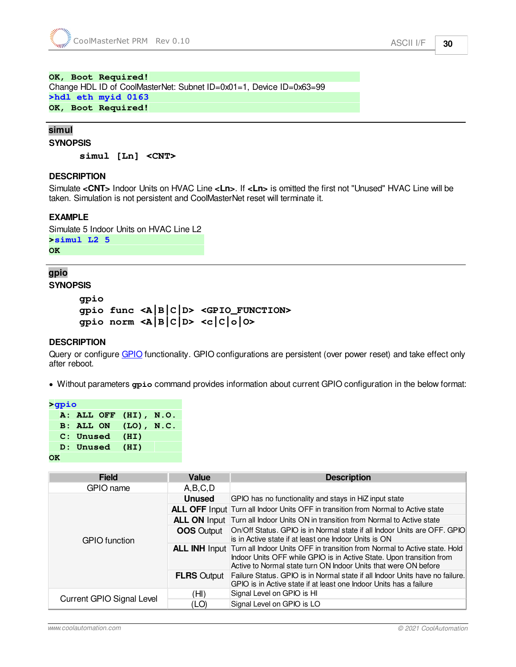#### **OK, Boot Required!**

Change HDL ID of CoolMasterNet: Subnet ID=0x01=1, Device ID=0x63=99

**>hdl eth myid 0163** 

**OK, Boot Required!** 

#### <span id="page-29-0"></span>**simul**

```
SYNOPSIS
```
**simul [Ln] <CNT>**

#### **DESCRIPTION**

Simulate **<CNT>** Indoor Units on HVAC Line **<Ln>**. If **<Ln>** is omitted the first not "Unused" HVAC Line will be taken. Simulation is not persistent and CoolMasterNet reset will terminate it.

#### **EXAMPLE**

Simulate 5 Indoor Units on HVAC Line L2 **>simul L2 5 OK** 

#### <span id="page-29-1"></span>**gpio SYNOPSIS**

```
gpio
gpio func <A|B|C|D> <GPIO_FUNCTION>
gpio norm <A|B|C|D> <c|C|o|O>
```
#### **DESCRIPTION**

Query or configure [GPIO](#page-10-4) functionality. GPIO configurations are persistent (over power reset) and take effect only after reboot.

· Without parameters **gpio** command provides information about current GPIO configuration in the below format:

```
>gpio 
   A: ALL OFF (HI), N.O. 
   B: ALL ON (LO), N.C. 
   C: Unused (HI) 
   D: Unused (HI) 
OK
```
**Field Value Description** GPIO name A,B,C,D GPIO function **Unused** GPIO has no functionality and stays in HiZ input state **ALL OFF** Input Turn all Indoor Units OFF in transition from Normal to Active state **ALL ON** Input Turn all Indoor Units ON in transition from Normal to Active state **OOS** Output **On/Off Status. GPIO** is in Normal state if all Indoor Units are OFF. GPIO is in Active state if at least one Indoor Units is ON **ALL INH Input Turn all Indoor Units OFF in transition from Normal to Active state. Hold** Indoor Units OFF while GPIO is in Active State. Upon transition from Active to Normal state turn ON Indoor Units that were ON before **FLRS** Output Failure Status. GPIO is in Normal state if all Indoor Units have no failure. GPIO is in Active state if at least one Indoor Units has a failure Current GPIO Signal Level  $\frac{(\text{H1})}{(\text{LO})}$  Signal Level on GPIO is HI Signal Level on GPIO is LO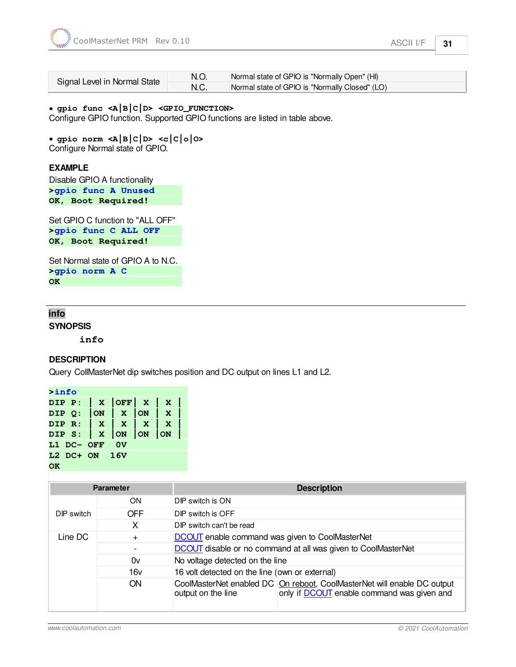|                              |      | Normal state of GPIO is "Normally Open" (HI)   |
|------------------------------|------|------------------------------------------------|
| Signal Level in Normal State | N.C. | Normal state of GPIO is "Normally Closed" (LO) |

#### · **gpio func <A|B|C|D> <GPIO\_FUNCTION>**

Configure GPIO function. Supported GPIO functions are listed in table above.

· **gpio norm <A|B|C|D> <c|C|o|O>** Configure Normal state of GPIO.

#### **EXAMPLE**

Disable GPIO A functionality **>gpio func A Unused OK, Boot Required!** 

Set GPIO C function to "ALL OFF" **>gpio func C ALL OFF OK, Boot Required!** 

Set Normal state of GPIO A to N.C. **>gpio norm A C OK** 

#### <span id="page-30-0"></span>**info**

**SYNOPSIS**

**info**

#### **DESCRIPTION**

Query CollMasterNet dip switches position and DC output on lines L1 and L2.

| <b>&gt;info</b> |            |                                      |    |    |              |  |
|-----------------|------------|--------------------------------------|----|----|--------------|--|
|                 |            | DIP $P:  X $ OFF $ X $               |    |    | $\mathbf{x}$ |  |
|                 |            | DIP $Q:  ON  X$                      |    | ON | $\mathbf{X}$ |  |
|                 |            | DIP R: $\vert$ X $\vert$ X $\vert$ X |    |    | $\mathbf{x}$ |  |
|                 |            | DIP S:   X  ON  ON                   |    |    | ON           |  |
|                 | L1 DC- OFF |                                      | 0v |    |              |  |
|                 |            | $L2$ DC+ ON 16V                      |    |    |              |  |
|                 |            |                                      |    |    |              |  |

**Parameter Description** DIP switch ON DIP switch is ON OFF DIP switch is OFF X DIP switch can't be read Line DC + [DCOUT](#page-19-0) enable command was given to CoolMasterNet - [DCOUT](#page-19-0) disable or no command at all was given to CoolMasterNet 0v No voltage detected on the line 16v 16 volt detected on the line (own or external) ON CoolMasterNet enabled DC On reboot, CoolMasterNet will enable DC output output on the line only if **[DCOUT](#page-19-0)** enable command was given and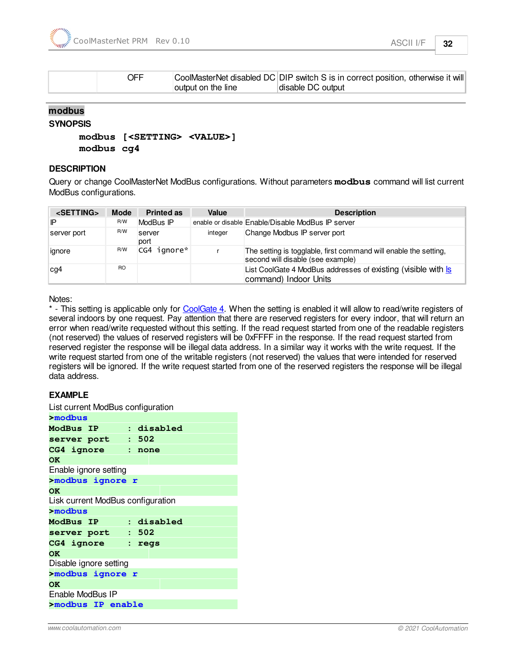

| OFF |                    | CoolMasterNet disabled DC DIP switch S is in correct position, otherwise it will |
|-----|--------------------|----------------------------------------------------------------------------------|
|     | output on the line | disable DC output                                                                |

#### <span id="page-31-0"></span>**modbus**

#### **SYNOPSIS**

```
modbus [<SETTING> <VALUE>]
modbus cg4
```
#### **DESCRIPTION**

Query or change CoolMasterNet ModBus configurations. Without parameters **modbus** command will list current ModBus configurations.

| <setting></setting> | <b>Mode</b>    | <b>Printed as</b> | Value   | <b>Description</b>                                                                                    |
|---------------------|----------------|-------------------|---------|-------------------------------------------------------------------------------------------------------|
| IP                  | R/W            | ModBus IP         |         | enable or disable Enable/Disable ModBus IP server                                                     |
| server port         | R/W            | server<br>port    | integer | Change Modbus IP server port                                                                          |
| ignore              | R/W            | CG4 ignore*       |         | The setting is togglable, first command will enable the setting,<br>second will disable (see example) |
| $\log$              | R <sub>O</sub> |                   |         | List CoolGate 4 ModBus addresses of existing (visible with Is<br>command) Indoor Units                |

Notes:

\* - This setting is applicable only for [CoolGate 4.](#page-7-2) When the setting is enabled it will allow to read/write registers of several indoors by one request. Pay attention that there are reserved registers for every indoor, that will return an error when read/write requested without this setting. If the read request started from one of the readable registers (not reserved) the values of reserved registers will be 0xFFFF in the response. If the read request started from reserved register the response will be illegal data address. In a similar way it works with the write request. If the write request started from one of the writable registers (not reserved) the values that were intended for reserved registers will be ignored. If the write request started from one of the reserved registers the response will be illegal data address.

#### **EXAMPLE**

List current ModBus configuration

| >modbus                           |  |  |  |  |  |
|-----------------------------------|--|--|--|--|--|
| ModBus IP : disabled              |  |  |  |  |  |
| server port : 502                 |  |  |  |  |  |
| CG4 ignore : none                 |  |  |  |  |  |
| <b>OK</b>                         |  |  |  |  |  |
| Enable ignore setting             |  |  |  |  |  |
| >modbus ignore r                  |  |  |  |  |  |
| <b>OK</b>                         |  |  |  |  |  |
| Lisk current ModBus configuration |  |  |  |  |  |
| $>$ modbus                        |  |  |  |  |  |
| ModBus IP : disabled              |  |  |  |  |  |
| server port : 502                 |  |  |  |  |  |
| CG4 ignore : regs                 |  |  |  |  |  |
| <b>OK</b>                         |  |  |  |  |  |
| Disable ignore setting            |  |  |  |  |  |
| >modbus ignore r                  |  |  |  |  |  |
| OK                                |  |  |  |  |  |
| Enable ModBus IP                  |  |  |  |  |  |
| >modbus IP enable                 |  |  |  |  |  |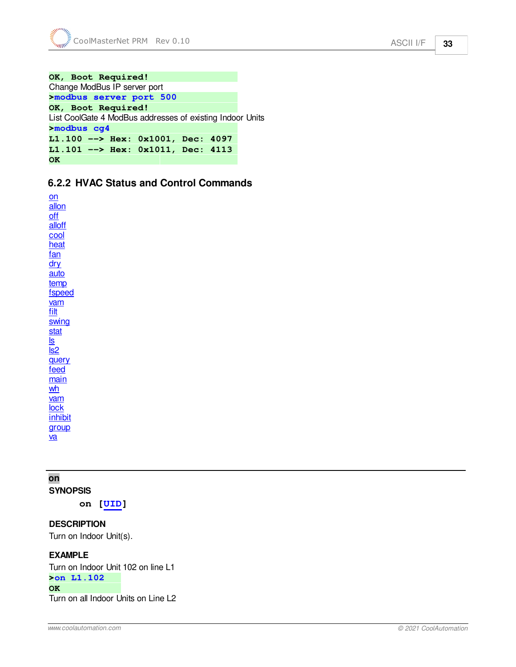```
OK, Boot Required! 
Change ModBus IP server port
>modbus server port 500 
OK, Boot Required! 
List CoolGate 4 ModBus addresses of existing Indoor Units
>modbus cg4 
L1.100 --> Hex: 0x1001, Dec: 4097 
L1.101 --> Hex: 0x1011, Dec: 4113 
OK
```
## <span id="page-32-0"></span>**6.2.2 HVAC Status and Control Commands**

[on](#page-32-1) [allon](#page-33-0) [off](#page-33-1) [alloff](#page-33-2) [cool](#page-33-3) [heat](#page-34-0) [fan](#page-34-1) [dry](#page-35-0) [auto](#page-35-1) [temp](#page-35-2) [fspeed](#page-38-0) [vam](#page-45-0) [filt](#page-40-0) **[swing](#page-39-0)** [stat](#page-40-1) [ls](#page-40-2) [ls2](#page-41-0) **[query](#page-42-0)** [feed](#page-37-0) [main](#page-44-0) [wh](#page-43-0) [vam](#page-45-0) [lock](#page-46-0) [inhibit](#page-47-0) [group](#page-48-0) [va](#page-48-1)

# <span id="page-32-1"></span>**on**

**SYNOPSIS**

**on [[UID\]](#page-15-0)**

#### **DESCRIPTION**

Turn on Indoor Unit(s).

#### **EXAMPLE**

Turn on Indoor Unit 102 on line L1 **>on L1.102 OK**  Turn on all Indoor Units on Line L2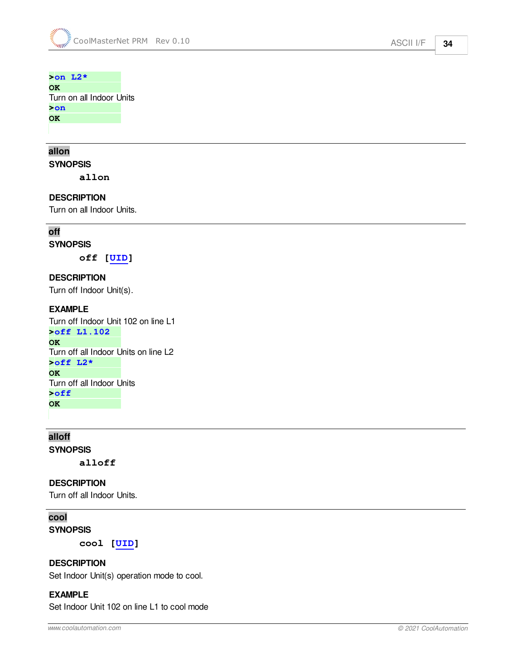#### **>on L2\***

**OK**  Turn on all Indoor Units **>on** 

**OK** 

# <span id="page-33-0"></span>**allon**

**SYNOPSIS**

**allon**

#### **DESCRIPTION**

Turn on all Indoor Units.

### <span id="page-33-1"></span>**off**

#### **SYNOPSIS**

**off [\[UID\]](#page-15-0)**

**DESCRIPTION** Turn off Indoor Unit(s).

#### **EXAMPLE**

Turn off Indoor Unit 102 on line L1 **>off L1.102 OK**  Turn off all Indoor Units on line L2 **>off L2\* OK**  Turn off all Indoor Units **>off OK** 

<span id="page-33-2"></span>**alloff SYNOPSIS**

**alloff**

#### **DESCRIPTION**

Turn off all Indoor Units.

### <span id="page-33-3"></span>**cool**

**SYNOPSIS**

**cool [\[UID](#page-15-0)]**

#### **DESCRIPTION**

Set Indoor Unit(s) operation mode to cool.

#### **EXAMPLE**

Set Indoor Unit 102 on line L1 to cool mode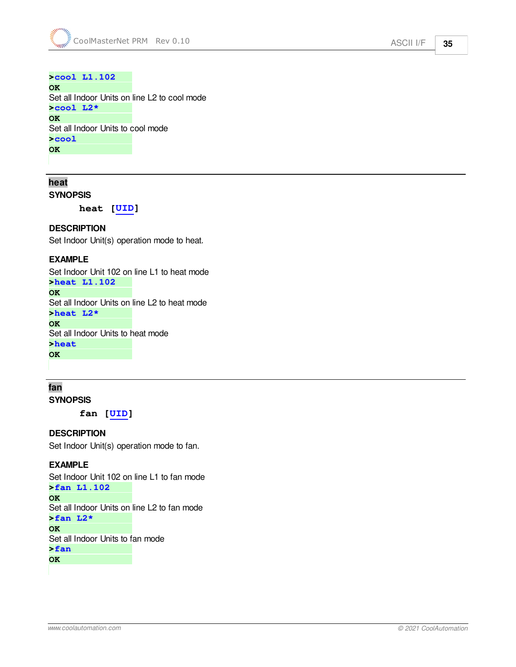#### **>cool L1.102 OK**  Set all Indoor Units on line L2 to cool mode **>cool L2\* OK**

Set all Indoor Units to cool mode **>cool OK** 

<span id="page-34-0"></span>**heat**

**SYNOPSIS**

**heat [\[UID](#page-15-0)]**

#### **DESCRIPTION**

Set Indoor Unit(s) operation mode to heat.

#### **EXAMPLE**

Set Indoor Unit 102 on line L1 to heat mode

**>heat L1.102** 

**OK** 

Set all Indoor Units on line L2 to heat mode

**>heat L2\*** 

**OK** 

Set all Indoor Units to heat mode **>heat** 

**OK** 

#### <span id="page-34-1"></span>**fan SYNOPSIS**

**fan [\[UID\]](#page-15-0)**

#### **DESCRIPTION**

Set Indoor Unit(s) operation mode to fan.

#### **EXAMPLE**

Set Indoor Unit 102 on line L1 to fan mode **>fan L1.102 OK**  Set all Indoor Units on line L2 to fan mode **>fan L2\* OK**  Set all Indoor Units to fan mode **>fan OK**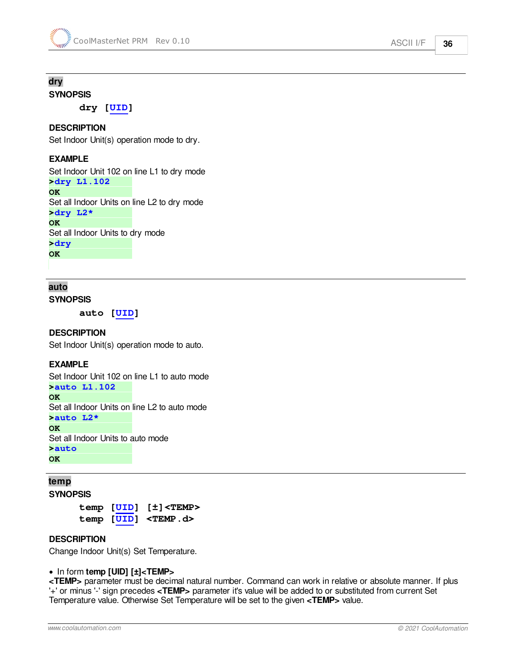# <span id="page-35-0"></span>**dry**

**SYNOPSIS**

**dry [\[UID\]](#page-15-0)**

#### **DESCRIPTION**

Set Indoor Unit(s) operation mode to dry.

#### **EXAMPLE**

Set Indoor Unit 102 on line L1 to dry mode **>dry L1.102** 

**OK**  Set all Indoor Units on line L2 to dry mode **>dry L2\* OK**  Set all Indoor Units to dry mode **>dry OK** 

### <span id="page-35-1"></span>**auto**

**SYNOPSIS**

**auto [\[UID](#page-15-0)]**

#### **DESCRIPTION**

Set Indoor Unit(s) operation mode to auto.

#### **EXAMPLE**

Set Indoor Unit 102 on line L1 to auto mode **>auto L1.102 OK**  Set all Indoor Units on line L2 to auto mode **>auto L2\* OK**  Set all Indoor Units to auto mode **>auto OK** 

<span id="page-35-2"></span>**temp SYNOPSIS**

> **temp [\[UID](#page-15-0)] [±]<TEMP> temp [\[UID](#page-15-0)] <TEMP.d>**

#### **DESCRIPTION**

Change Indoor Unit(s) Set Temperature.

#### · In form **temp [UID] [±]<TEMP>**

**<TEMP>** parameter must be decimal natural number. Command can work in relative or absolute manner. If plus '+' or minus '-' sign precedes **<TEMP>** parameter it's value will be added to or substituted from current Set Temperature value. Otherwise Set Temperature will be set to the given **<TEMP>** value.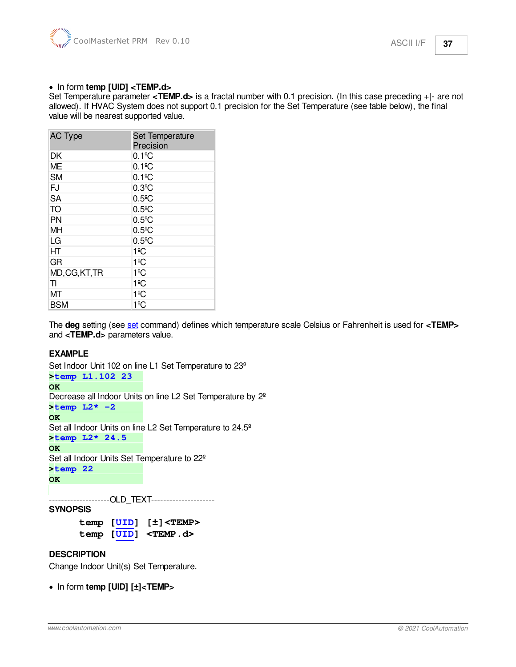#### · In form **temp [UID] <TEMP.d>**

Set Temperature parameter **<TEMP.d>** is a fractal number with 0.1 precision. (In this case preceding +|- are not allowed). If HVAC System does not support 0.1 precision for the Set Temperature (see table below), the final value will be nearest supported value.

| <b>AC Type</b> | Set Temperature<br>Precision |
|----------------|------------------------------|
| DK             | $0.1$ <sup>o</sup> C         |
| <b>ME</b>      | $0.1$ <sup>o</sup> C         |
| <b>SM</b>      | $0.1$ <sup>o</sup> C         |
| FJ             | $0.3$ <sup>o</sup> C         |
| <b>SA</b>      | $0.5$ <sup>o</sup> C         |
| TO             | $0.5$ <sup>o</sup> C         |
| <b>PN</b>      | $0.5$ <sup>o</sup> C         |
| <b>MH</b>      | $0.5$ <sup>o</sup> C         |
| LG             | $0.5$ <sup>o</sup> C         |
| HТ             | 1ºC                          |
| GR             | 1ºC                          |
| MD, CG, KT, TR | 1ºC                          |
| TI             | 1ºC                          |
| ΜТ             | 1ºC                          |
| <b>BSM</b>     | 1ºC                          |

The **deg** setting (see [set](#page-18-0) command) defines which temperature scale Celsius or Fahrenheit is used for **<TEMP>** and **<TEMP.d>** parameters value.

#### **EXAMPLE**

Set Indoor Unit 102 on line L1 Set Temperature to 23º **>temp L1.102 23 OK**  Decrease all Indoor Units on line L2 Set Temperature by 2º **>temp L2\* -2 OK**  Set all Indoor Units on line L2 Set Temperature to 24.5º **>temp L2\* 24.5 OK**  Set all Indoor Units Set Temperature to 22º **>temp 22 OK**  --------------------OLD\_TEXT---------------------

**SYNOPSIS**

**temp [\[UID](#page-15-0)] [±]<TEMP> temp [\[UID](#page-15-0)] <TEMP.d>**

#### **DESCRIPTION**

Change Indoor Unit(s) Set Temperature.

· In form **temp [UID] [±]<TEMP>**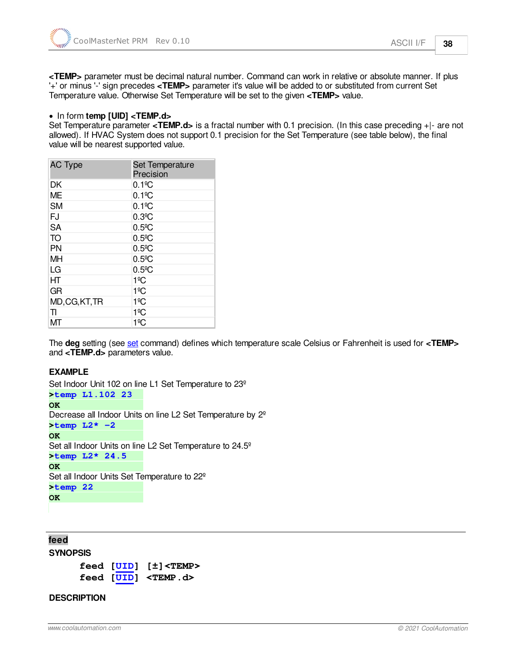**<TEMP>** parameter must be decimal natural number. Command can work in relative or absolute manner. If plus '+' or minus '-' sign precedes **<TEMP>** parameter it's value will be added to or substituted from current Set Temperature value. Otherwise Set Temperature will be set to the given **<TEMP>** value.

#### · In form **temp [UID] <TEMP.d>**

Set Temperature parameter **<TEMP.d>** is a fractal number with 0.1 precision. (In this case preceding +|- are not allowed). If HVAC System does not support 0.1 precision for the Set Temperature (see table below), the final value will be nearest supported value.

| <b>AC Type</b> | Set Temperature<br>Precision |
|----------------|------------------------------|
| DK             | $0.1$ <sup>o</sup> C         |
| ME             | $0.1$ <sup>o</sup> C         |
| <b>SM</b>      | $0.1$ <sup>o</sup> C         |
| FJ             | $0.3$ <sup>o</sup> C         |
| <b>SA</b>      | $0.5$ <sup>o</sup> C         |
| TO             | $0.5$ <sup>o</sup> C         |
| <b>PN</b>      | $0.5$ <sup>o</sup> C         |
| MH             | $0.5$ <sup>o</sup> C         |
| LG             | $0.5$ <sup>o</sup> C         |
| HT             | 1ºC                          |
| GR             | 1ºC                          |
| MD, CG, KT, TR | 1ºC                          |
| TI             | 1ºC                          |
| ΜТ             | 1ºC                          |

The **deg** setting (see [set](#page-18-0) command) defines which temperature scale Celsius or Fahrenheit is used for **<TEMP>** and **<TEMP.d>** parameters value.

#### **EXAMPLE**

```
Set Indoor Unit 102 on line L1 Set Temperature to 23º
>temp L1.102 23 
OK 
Decrease all Indoor Units on line L2 Set Temperature by 2º
>temp L2* -2 
OK 
Set all Indoor Units on line L2 Set Temperature to 24.5º
>temp L2* 24.5 
OK 
Set all Indoor Units Set Temperature to 22º
>temp 22 
OK
```
<span id="page-37-0"></span>**feed SYNOPSIS feed [\[UID](#page-15-0)] [±]<TEMP>**

**feed [\[UID](#page-15-0)] <TEMP.d>**

#### **DESCRIPTION**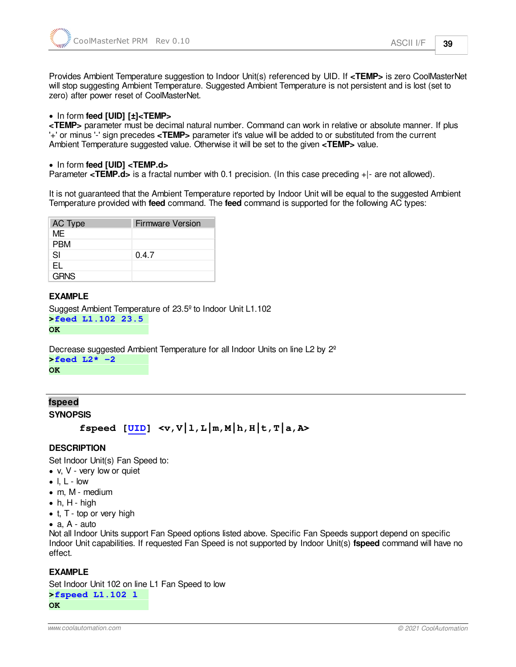Provides Ambient Temperature suggestion to Indoor Unit(s) referenced by UID. If **<TEMP>** is zero CoolMasterNet will stop suggesting Ambient Temperature. Suggested Ambient Temperature is not persistent and is lost (set to zero) after power reset of CoolMasterNet.

#### · In form **feed [UID] [±]<TEMP>**

**<TEMP>** parameter must be decimal natural number. Command can work in relative or absolute manner. If plus '+' or minus '-' sign precedes **<TEMP>** parameter it's value will be added to or substituted from the current Ambient Temperature suggested value. Otherwise it will be set to the given **<TEMP>** value.

#### · In form **feed [UID] <TEMP.d>**

Parameter **<TEMP.d>** is a fractal number with 0.1 precision. (In this case preceding +|- are not allowed).

It is not guaranteed that the Ambient Temperature reported by Indoor Unit will be equal to the suggested Ambient Temperature provided with **feed** command. The **feed** command is supported for the following AC types:

| AC Type     | <b>Firmware Version</b> |
|-------------|-------------------------|
| MF          |                         |
| <b>PBM</b>  |                         |
| SI          | 0.4.7                   |
| EL.         |                         |
| <b>GRNS</b> |                         |

#### **EXAMPLE**

```
Suggest Ambient Temperature of 23.5º to Indoor Unit L1.102
>feed L1.102 23.5 
OK
```
Decrease suggested Ambient Temperature for all Indoor Units on line L2 by 2º

**>feed L2\* -2 OK** 

#### <span id="page-38-0"></span>**fspeed SYNOPSIS**

```
fspeed UID] < v, V|1, L|m, M|h, H|t, T|a, Ax
```
#### **DESCRIPTION**

Set Indoor Unit(s) Fan Speed to:

- v, V very low or quiet
- $\bullet$  l, L low
- · m, M medium
- $\bullet$  h, H high
- t, T top or very high
- · a, A auto

Not all Indoor Units support Fan Speed options listed above. Specific Fan Speeds support depend on specific Indoor Unit capabilities. If requested Fan Speed is not supported by Indoor Unit(s) **fspeed** command will have no effect.

#### **EXAMPLE**

Set Indoor Unit 102 on line L1 Fan Speed to low **>fspeed L1.102 l OK**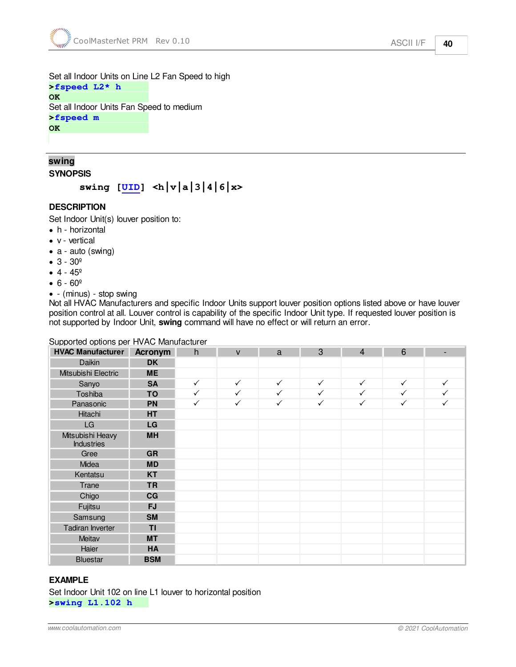Set all Indoor Units on Line L2 Fan Speed to high **>fspeed L2\* h OK**  Set all Indoor Units Fan Speed to medium **>fspeed m** 

**OK** 

# <span id="page-39-0"></span>**swing**

**SYNOPSIS**

**swing [[UID](#page-15-0)] <h|v|a|3|4|6|x>**

#### **DESCRIPTION**

Set Indoor Unit(s) louver position to:

- h horizontal
- · v vertical
- a auto (swing)
- · 3 30º
- $4 45^{\circ}$
- $6 60°$
- - (minus) stop swing

Not all HVAC Manufacturers and specific Indoor Units support louver position options listed above or have louver position control at all. Louver control is capability of the specific Indoor Unit type. If requested louver position is not supported by Indoor Unit, **swing** command will have no effect or will return an error.

#### Supported options per HVAC Manufacturer

| <b>HVAC Manufacturer</b>              | <b>Acronym</b> | h            | $\mathsf{V}$ | a            | 3            | $\overline{4}$ | 6            | -            |
|---------------------------------------|----------------|--------------|--------------|--------------|--------------|----------------|--------------|--------------|
| Daikin                                | <b>DK</b>      |              |              |              |              |                |              |              |
| Mitsubishi Electric                   | <b>ME</b>      |              |              |              |              |                |              |              |
| Sanyo                                 | <b>SA</b>      | $\checkmark$ | $\checkmark$ | $\checkmark$ | $\checkmark$ | $\checkmark$   | $\checkmark$ | $\checkmark$ |
| Toshiba                               | TO             | $\checkmark$ | $\checkmark$ | $\checkmark$ | $\checkmark$ | $\checkmark$   | $\checkmark$ | $\checkmark$ |
| Panasonic                             | <b>PN</b>      | $\checkmark$ | $\checkmark$ | $\checkmark$ | $\checkmark$ | $\checkmark$   | $\checkmark$ | $\checkmark$ |
| Hitachi                               | HT             |              |              |              |              |                |              |              |
| LG                                    | LG             |              |              |              |              |                |              |              |
| Mitsubishi Heavy<br><b>Industries</b> | <b>MH</b>      |              |              |              |              |                |              |              |
| Gree                                  | <b>GR</b>      |              |              |              |              |                |              |              |
| Midea                                 | <b>MD</b>      |              |              |              |              |                |              |              |
| Kentatsu                              | <b>KT</b>      |              |              |              |              |                |              |              |
| Trane                                 | <b>TR</b>      |              |              |              |              |                |              |              |
| Chigo                                 | CG             |              |              |              |              |                |              |              |
| Fujitsu                               | <b>FJ</b>      |              |              |              |              |                |              |              |
| Samsung                               | <b>SM</b>      |              |              |              |              |                |              |              |
| Tadiran Inverter                      | TI             |              |              |              |              |                |              |              |
| Meitav                                | <b>MT</b>      |              |              |              |              |                |              |              |
| Haier                                 | HA             |              |              |              |              |                |              |              |
| <b>Bluestar</b>                       | <b>BSM</b>     |              |              |              |              |                |              |              |

#### **EXAMPLE**

Set Indoor Unit 102 on line L1 louver to horizontal position **>swing L1.102 h**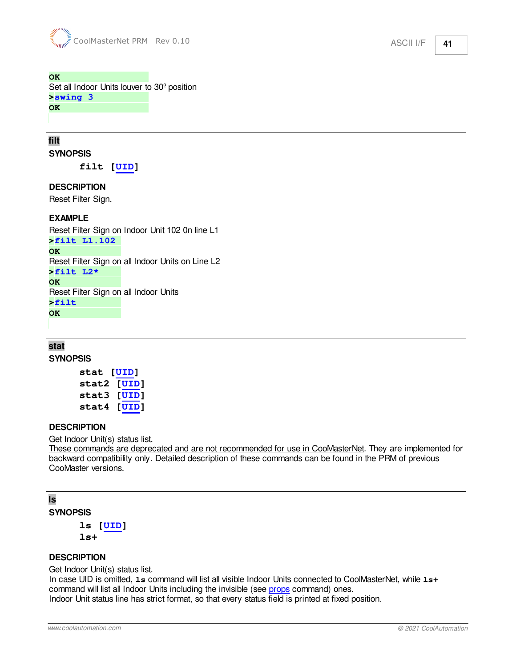#### **OK**

Set all Indoor Units louver to 30º position **>swing 3 OK** 

### <span id="page-40-0"></span>**filt SYNOPSIS**

**filt [\[UID](#page-15-0)]**

#### **DESCRIPTION**

Reset Filter Sign.

#### **EXAMPLE**

Reset Filter Sign on Indoor Unit 102 0n line L1

**>filt L1.102** 

**OK**  Reset Filter Sign on all Indoor Units on Line L2 **>filt L2\* OK**  Reset Filter Sign on all Indoor Units **>filt OK** 

#### <span id="page-40-1"></span>**stat SYNOPSIS**

```
stat [UID]
stat2 [UID]
stat3 [UID]
stat4 [UID]
```
#### **DESCRIPTION**

Get Indoor Unit(s) status list.

These commands are deprecated and are not recommended for use in CooMasterNet. They are implemented for backward compatibility only. Detailed description of these commands can be found in the PRM of previous CooMaster versions.

# <span id="page-40-2"></span>**ls**

**SYNOPSIS ls [[UID\]](#page-15-0)**

**ls+**

#### **DESCRIPTION**

Get Indoor Unit(s) status list.

In case UID is omitted, **ls** command will list all visible Indoor Units connected to CoolMasterNet, while **ls+** command will list all Indoor Units including the invisible (see [props](#page-24-0) command) ones. Indoor Unit status line has strict format, so that every status field is printed at fixed position.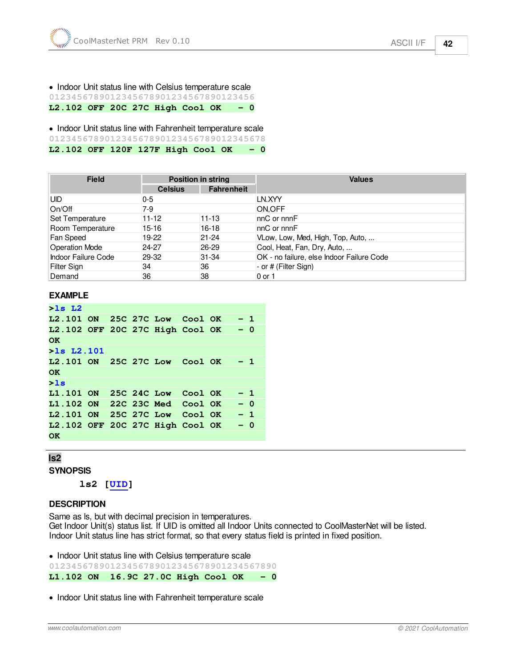# · Indoor Unit status line with Celsius temperature scale

**0123456789012345678901234567890123456**

**L2.102 OFF 20C 27C High Cool OK - 0**

· Indoor Unit status line with Fahrenheit temperature scale

**012345678901234567890123456789012345678**

**L2.102 OFF 120F 127F High Cool OK - 0**

| <b>Field</b>               | <b>Position in string</b> |                   | <b>Values</b>                             |
|----------------------------|---------------------------|-------------------|-------------------------------------------|
|                            | <b>Celsius</b>            | <b>Fahrenheit</b> |                                           |
| <b>UID</b>                 | $0 - 5$                   |                   | LN.XYY                                    |
| On/Off                     | 7-9                       |                   | ON.OFF                                    |
| Set Temperature            | $11 - 12$                 | $11 - 13$         | $nC$ or $nnF$                             |
| Room Temperature           | 15-16                     | 16-18             | $nC$ or $nnF$                             |
| Fan Speed                  | 19-22                     | $21 - 24$         | VLow, Low, Med, High, Top, Auto,          |
| <b>Operation Mode</b>      | $24 - 27$                 | 26-29             | Cool, Heat, Fan, Dry, Auto,               |
| <b>Indoor Failure Code</b> | 29-32                     | $31 - 34$         | OK - no failure, else Indoor Failure Code |
| Filter Sign                | 34                        | 36                | - or # (Filter Sign)                      |
| Demand                     | 36                        | 38                | 0 or 1                                    |

#### **EXAMPLE**

```
>ls L2 
L2.101 ON 25C 27C Low Cool OK - 1 
L2.102 OFF 20C 27C High Cool OK - 0 
OK 
>ls L2.101 
L2.101 ON 25C 27C Low Cool OK - 1 
OK 
>ls 
L1.101 ON 25C 24C Low Cool OK - 1 
L1.102 ON 22C 23C Med Cool OK - 0 
L2.101 ON 25C 27C Low Cool OK - 1 
L2.102 OFF 20C 27C High Cool OK - 0 
OK
```
#### <span id="page-41-0"></span>**ls2**

**SYNOPSIS**

**ls2 [\[UID\]](#page-15-0)**

#### **DESCRIPTION**

Same as ls, but with decimal precision in temperatures. Get Indoor Unit(s) status list. If UID is omitted all Indoor Units connected to CoolMasterNet will be listed. Indoor Unit status line has strict format, so that every status field is printed in fixed position.

· Indoor Unit status line with Celsius temperature scale

**01234567890123456789012345678901234567890**

**L1.102 ON 16.9C 27.0C High Cool OK - 0**

· Indoor Unit status line with Fahrenheit temperature scale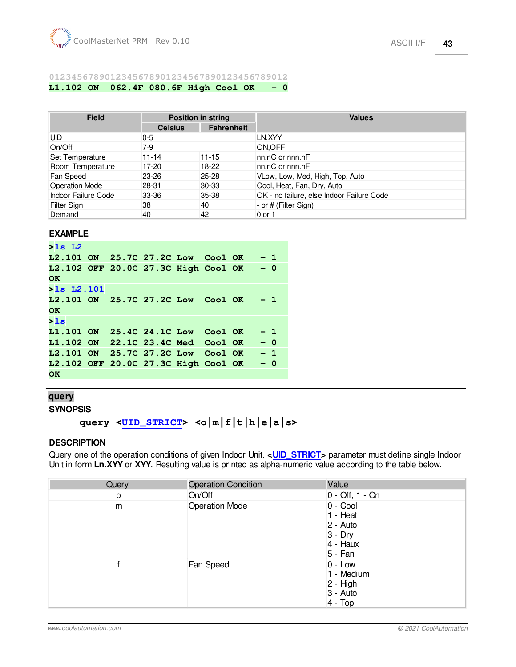#### **0123456789012345678901234567890123456789012**

**L1.102 ON 062.4F 080.6F High Cool OK - 0**

| <b>Field</b>               | <b>Position in string</b> |                   | <b>Values</b>                             |
|----------------------------|---------------------------|-------------------|-------------------------------------------|
|                            | <b>Celsius</b>            | <b>Fahrenheit</b> |                                           |
| <b>UID</b>                 | $0 - 5$                   |                   | LN.XYY                                    |
| On/Off                     | $7-9$                     |                   | ON.OFF                                    |
| Set Temperature            | $11 - 14$                 | $11 - 15$         | $nn.nC$ or $nnn.nF$                       |
| Room Temperature           | $17-20$                   | 18-22             | nn.nC or nnn.nF                           |
| Fan Speed                  | $23 - 26$                 | 25-28             | VLow, Low, Med, High, Top, Auto           |
| <b>Operation Mode</b>      | 28-31                     | $30-33$           | Cool, Heat, Fan, Dry, Auto                |
| <b>Indoor Failure Code</b> | 33-36                     | 35-38             | OK - no failure, else Indoor Failure Code |
| <b>Filter Sign</b>         | 38                        | 40                | - or # (Filter Sign)                      |
| Demand                     | 40                        | 42                | 0 or 1                                    |

#### **EXAMPLE**

```
>ls L2 
L2.101 ON 25.7C 27.2C Low Cool OK - 1 
L2.102 OFF 20.0C 27.3C High Cool OK - 0 
OK 
>ls L2.101 
L2.101 ON 25.7C 27.2C Low Cool OK - 1 
OK 
>ls 
L1.101 ON 25.4C 24.1C Low Cool OK - 1 
L1.102 ON 22.1C 23.4C Med Cool OK - 0 
L2.101 ON 25.7C 27.2C Low Cool OK - 1 
L2.102 OFF 20.0C 27.3C High Cool OK - 0 
OK
```
#### <span id="page-42-0"></span>**query**

```
SYNOPSIS
```
# **query <[UID\\_STRICT>](#page-15-0) <o|m|f|t|h|e|a|s>**

#### **DESCRIPTION**

Query one of the operation conditions of given Indoor Unit. <**UID\_STRICT**> parameter must define single Indoor Unit in form **Ln.XYY** or **XYY**. Resulting value is printed as alpha-numeric value according to the table below.

| Query | <b>Operation Condition</b> | Value                                                                  |
|-------|----------------------------|------------------------------------------------------------------------|
| 0     | On/Off                     | $0 -$ Off, 1 - On                                                      |
| m     | <b>Operation Mode</b>      | 0 - Cool<br>1 - Heat<br>2 - Auto<br>$3 - Dry$<br>4 - Haux<br>$5 - Fan$ |
|       | Fan Speed                  | $0 - Low$<br>1 - Medium<br>$2 - High$<br>3 - Auto<br>$4 - Top$         |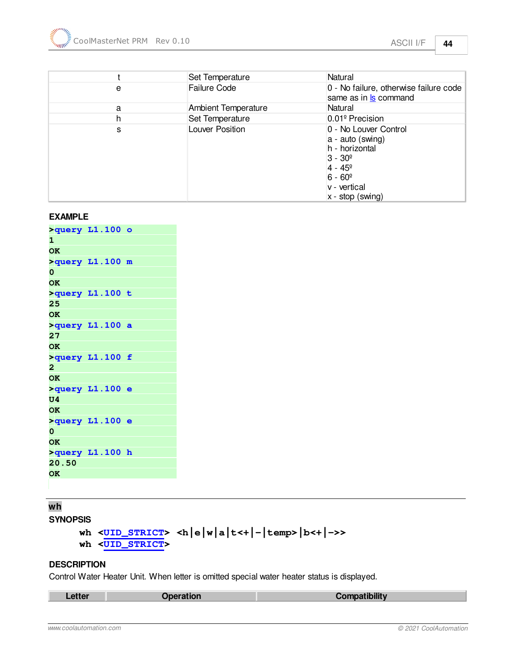|   | Set Temperature            | Natural                                                                                                                                                       |
|---|----------------------------|---------------------------------------------------------------------------------------------------------------------------------------------------------------|
| e | <b>Failure Code</b>        | 0 - No failure, otherwise failure code<br>same as in <b>s</b> command                                                                                         |
| a | <b>Ambient Temperature</b> | Natural                                                                                                                                                       |
| h | Set Temperature            | 0.01 <sup>°</sup> Precision                                                                                                                                   |
| s | Louver Position            | 0 - No Louver Control<br>a - auto (swing)<br>h - horizontal<br>$3 - 30^{\circ}$<br>$4 - 45^{\circ}$<br>$6 - 60^{\circ}$<br>v - vertical<br>$x - stop$ (swing) |

#### **EXAMPLE**

|                | $>$ query $L1.100$ o |  |
|----------------|----------------------|--|
| 1              |                      |  |
| <b>OK</b>      |                      |  |
|                | >query L1.100 m      |  |
| 0              |                      |  |
| <b>OK</b>      |                      |  |
|                | >query L1.100 t      |  |
| 25             |                      |  |
| <b>OK</b>      |                      |  |
|                | >query L1.100 a      |  |
| 27             |                      |  |
| <b>OK</b>      |                      |  |
|                | >query L1.100 f      |  |
| $\overline{2}$ |                      |  |
| <b>OK</b>      |                      |  |
|                | >query L1.100 e      |  |
| U4             |                      |  |
| <b>OK</b>      |                      |  |
|                | >query L1.100 e      |  |
| 0              |                      |  |
| <b>OK</b>      |                      |  |
|                | >query L1.100 h      |  |
| 20.50          |                      |  |
| <b>OK</b>      |                      |  |
|                |                      |  |

# <span id="page-43-0"></span>**wh**

```
SYNOPSIS
```

```
wh \leqUID_STRICT</u>> \leq h|e|w|a|t\leq +|-|temp>|b\leq +|->>wh <UID_STRICT>
```
#### **DESCRIPTION**

Control Water Heater Unit. When letter is omitted special water heater status is displayed.

| Letter | Operation | Compatibility |
|--------|-----------|---------------|
|        |           |               |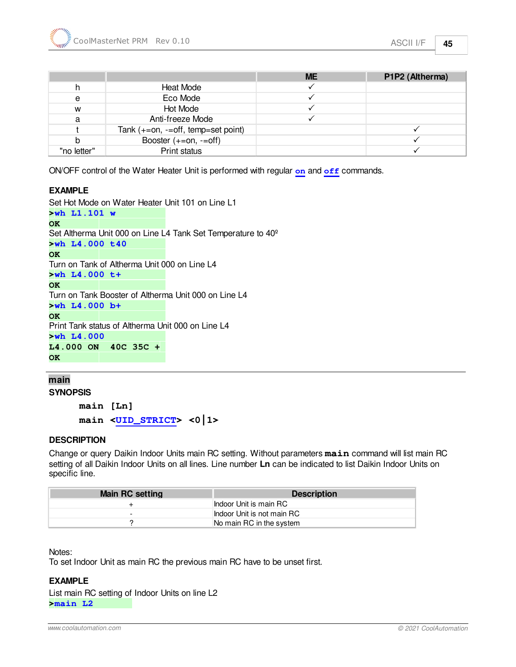|             |                                     | <b>ME</b> | P1P2 (Altherma) |
|-------------|-------------------------------------|-----------|-----------------|
|             | Heat Mode                           |           |                 |
| e           | Eco Mode                            |           |                 |
| W           | <b>Hot Mode</b>                     |           |                 |
| a           | Anti-freeze Mode                    |           |                 |
|             | Tank $(+=on, -off, temp=set point)$ |           |                 |
|             | Booster $(+=on, -=off)$             |           |                 |
| "no letter" | Print status                        |           |                 |

ON/OFF control of the Water Heater Unit is performed with regular **[on](#page-32-1)** and **[off](#page-33-1)** commands.

#### **EXAMPLE**

Set Hot Mode on Water Heater Unit 101 on Line L1 **>wh L1.101 w OK**  Set Altherma Unit 000 on Line L4 Tank Set Temperature to 40º **>wh L4.000 t40 OK**  Turn on Tank of Altherma Unit 000 on Line L4 **>wh L4.000 t+ OK**  Turn on Tank Booster of Altherma Unit 000 on Line L4 **>wh L4.000 b+ OK**  Print Tank status of Altherma Unit 000 on Line L4 **>wh L4.000 L4.000 ON 40C 35C + OK** 

#### <span id="page-44-0"></span>**main**

**SYNOPSIS**

**main [Ln] main [<UID\\_STRICT](#page-15-0)> <0|1>**

#### **DESCRIPTION**

Change or query Daikin Indoor Units main RC setting. Without parameters **main** command will list main RC setting of all Daikin Indoor Units on all lines. Line number **Ln** can be indicated to list Daikin Indoor Units on specific line.

| <b>Main RC setting</b> | <b>Description</b>         |
|------------------------|----------------------------|
|                        | Indoor Unit is main RC     |
| -                      | Indoor Unit is not main RC |
|                        | No main RC in the system   |

#### Notes:

To set Indoor Unit as main RC the previous main RC have to be unset first.

#### **EXAMPLE**

List main RC setting of Indoor Units on line L2 **>main L2**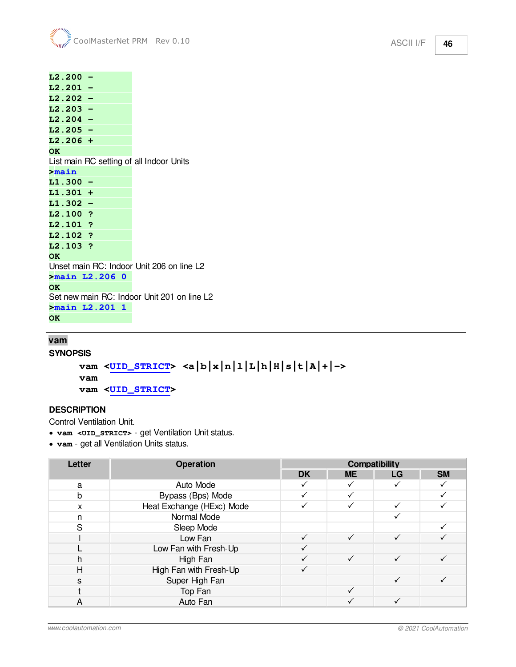**L2.200 - L2.201 - L2.202 - L2.203 - L2.204 - L2.205 - L2.206 + OK**  List main RC setting of all Indoor Units **>main L1.300 - L1.301 + L1.302 - L2.100 ? L2.101 ? L2.102 ? L2.103 ? OK**  Unset main RC: Indoor Unit 206 on line L2 **>main L2.206 0 OK**  Set new main RC: Indoor Unit 201 on line L2 **>main L2.201 1 OK** 

#### <span id="page-45-0"></span>**vam**

**SYNOPSIS**

**vam [<UID\\_STRICT](#page-15-0)> <a|b|x|n|l|L|h|H|s|t|A|+|-> vam vam [<UID\\_STRICT](#page-15-0)>**

#### **DESCRIPTION**

Control Ventilation Unit.

- · **vam <UID\_STRICT>** get Ventilation Unit status.
- · **vam** get all Ventilation Units status.

| Letter                    | <b>Operation</b>          |           |              | <b>Compatibility</b> |           |
|---------------------------|---------------------------|-----------|--------------|----------------------|-----------|
|                           |                           | <b>DK</b> | <b>ME</b>    | LG                   | <b>SM</b> |
| a                         | Auto Mode                 |           |              |                      |           |
| b                         | Bypass (Bps) Mode         |           |              |                      |           |
| $\boldsymbol{\mathsf{x}}$ | Heat Exchange (HExc) Mode |           |              |                      |           |
| n                         | Normal Mode               |           |              |                      |           |
| S.                        | Sleep Mode                |           |              |                      |           |
|                           | Low Fan                   |           |              | ✓                    |           |
|                           | Low Fan with Fresh-Up     |           |              |                      |           |
| h                         | High Fan                  |           | $\checkmark$ | $\checkmark$         |           |
| Н                         | High Fan with Fresh-Up    |           |              |                      |           |
| S                         | Super High Fan            |           |              |                      |           |
|                           | Top Fan                   |           |              |                      |           |
| A                         | Auto Fan                  |           |              |                      |           |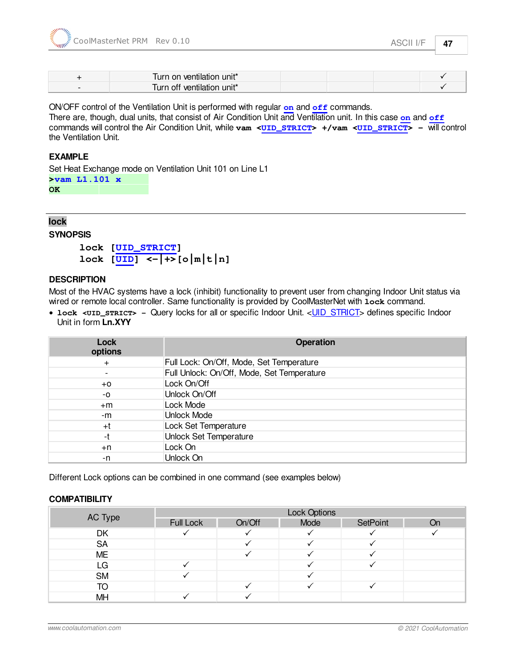| Turn on ventilation unit*  |  |
|----------------------------|--|
| Turn off ventilation unit* |  |

ON/OFF control of the Ventilation Unit is performed with regular **[on](#page-32-1)** and **[off](#page-33-1)** commands.

There are, though, dual units, that consist of Air Condition Unit and Ventilation unit. In this case **[on](#page-32-1)** and **[off](#page-33-1)** commands will control the Air Condition Unit, while **vam [<UID\\_STRICT](#page-15-0)> +/vam [<UID\\_STRICT](#page-15-0)> -** will control the Ventilation Unit.

#### **EXAMPLE**

Set Heat Exchange mode on Ventilation Unit 101 on Line L1 **>vam L1.101 x** 

**OK** 

# <span id="page-46-0"></span>**lock**

**SYNOPSIS**

```
lock [UID_STRICT]
\text{lock} [UID]} \leftarrow} +>\text{[o]} \text{m} \leftarrow \text{[n]}
```
#### **DESCRIPTION**

Most of the HVAC systems have a lock (inhibit) functionality to prevent user from changing Indoor Unit status via wired or remote local controller. Same functionality is provided by CoolMasterNet with **lock** command.

• **lock [<UID\\_STRICT>](#page-16-0)** - Query locks for all or specific Indoor Unit. <**UID\_STRICT**> defines specific Indoor Unit in form **Ln.XYY**

| <b>Lock</b><br>options   | <b>Operation</b>                           |  |  |
|--------------------------|--------------------------------------------|--|--|
| $\ddot{}$                | Full Lock: On/Off, Mode, Set Temperature   |  |  |
| $\overline{\phantom{a}}$ | Full Unlock: On/Off, Mode, Set Temperature |  |  |
| $+0$                     | Lock On/Off                                |  |  |
| -0                       | Unlock On/Off                              |  |  |
| $+m$                     | Lock Mode                                  |  |  |
| -m                       | <b>Unlock Mode</b>                         |  |  |
| $+t$                     | Lock Set Temperature                       |  |  |
| -t                       | <b>Unlock Set Temperature</b>              |  |  |
| $+n$                     | Lock On                                    |  |  |
| -n                       | Unlock On                                  |  |  |

Different Lock options can be combined in one command (see examples below)

#### **COMPATIBILITY**

| AC Type   | Lock Options |        |      |          |           |
|-----------|--------------|--------|------|----------|-----------|
|           | Full Lock    | On/Off | Mode | SetPoint | <b>On</b> |
| DK        |              |        |      |          |           |
| <b>SA</b> |              |        |      |          |           |
| ME        |              |        |      |          |           |
| LG        |              |        |      |          |           |
| <b>SM</b> |              |        |      |          |           |
| TO        |              |        |      |          |           |
| MH        |              |        |      |          |           |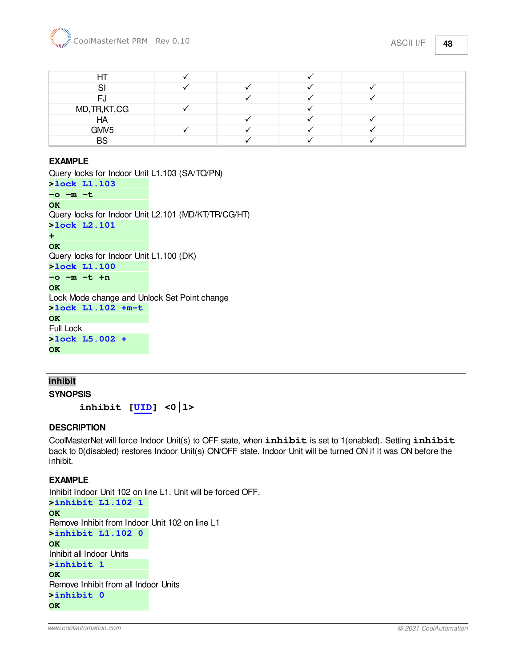| HГ           |  |  |  |
|--------------|--|--|--|
| $\mathbf{C}$ |  |  |  |

| FJ               |  |         |  |
|------------------|--|---------|--|
| MD, TR, KT, CG   |  |         |  |
| HA               |  |         |  |
| GMV <sub>5</sub> |  | $\cdot$ |  |
| <b>BS</b>        |  |         |  |

#### **EXAMPLE**

```
Query locks for Indoor Unit L1.103 (SA/TO/PN)
>lock L1.103 
-o -m -t 
OK 
Query locks for Indoor Unit L2.101 (MD/KT/TR/CG/HT)
>lock L2.101 
+ 
OK 
Query locks for Indoor Unit L1.100 (DK)
>lock L1.100 
-o -m -t +n 
OK 
Lock Mode change and Unlock Set Point change
>lock L1.102 +m-t 
OK 
Full Lock
>lock L5.002 + 
OK
```
### <span id="page-47-0"></span>**inhibit**

**SYNOPSIS**

**inhibit [[UID\]](#page-15-0) <0|1>** 

#### **DESCRIPTION**

CoolMasterNet will force Indoor Unit(s) to OFF state, when **inhibit** is set to 1(enabled). Setting **inhibit** back to 0(disabled) restores Indoor Unit(s) ON/OFF state. Indoor Unit will be turned ON if it was ON before the inhibit.

#### **EXAMPLE**

Inhibit Indoor Unit 102 on line L1. Unit will be forced OFF. **>inhibit L1.102 1 OK**  Remove Inhibit from Indoor Unit 102 on line L1 **>inhibit L1.102 0 OK**  Inhibit all Indoor Units **>inhibit 1 OK**  Remove Inhibit from all Indoor Units **>inhibit 0 OK**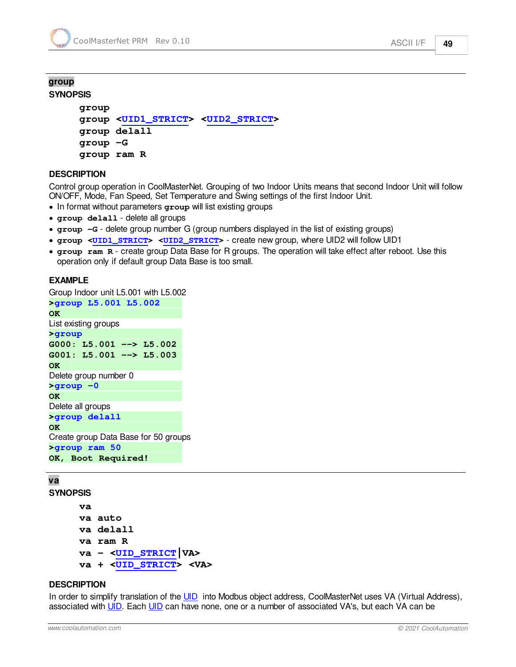#### <span id="page-48-0"></span>**group SYNOPSIS**

```
group
group <UID1_STRICT> <UID2_STRICT>
group delall
group -G
group ram R
```
#### **DESCRIPTION**

Control group operation in CoolMasterNet. Grouping of two Indoor Units means that second Indoor Unit will follow ON/OFF, Mode, Fan Speed, Set Temperature and Swing settings of the first Indoor Unit.

- · In format without parameters **group** will list existing groups
- · **group delall** delete all groups
- · **group -G** delete group number G (group numbers displayed in the list of existing groups)
- · **group <[UID1\\_STRICT>](#page-16-0) <[UID2\\_STRICT>](#page-16-0)** create new group, where UID2 will follow UID1
- · **group ram R** create group Data Base for R groups. The operation will take effect after reboot. Use this operation only if default group Data Base is too small.

#### **EXAMPLE**

Group Indoor unit L5.001 with L5.002 **>group L5.001 L5.002 OK**  List existing groups **>group G000: L5.001 --> L5.002 G001: L5.001 --> L5.003 OK**  Delete group number 0 **>group -0 OK**  Delete all groups **>group delall OK**  Create group Data Base for 50 groups **>group ram 50 OK, Boot Required!** 

#### <span id="page-48-1"></span>**va**

**SYNOPSIS**

```
va
va auto
va delall
va ram R
va - <UID_STRICT|VA>
va + <UID_STRICT> <VA>
```
#### **DESCRIPTION**

In order to simplify translation of the [UID](#page-15-0) into Modbus object address, CoolMasterNet uses VA (Virtual Address), associated with [UID.](#page-15-0) Each [UID](#page-15-0) can have none, one or a number of associated VA's, but each VA can be